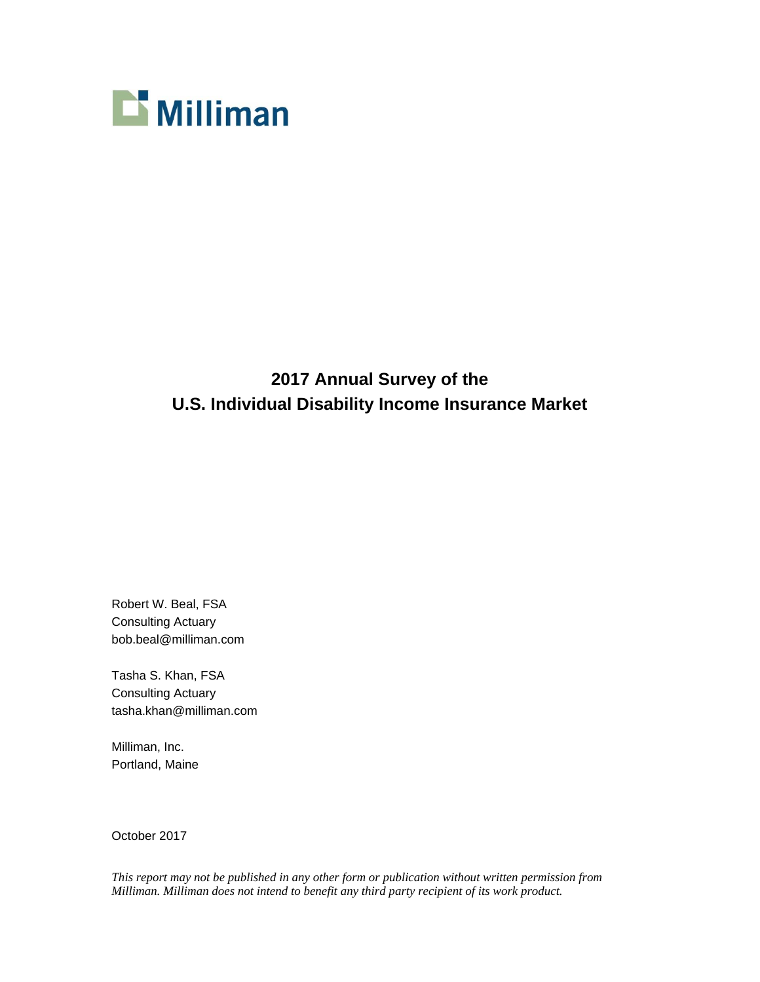

# **2017 Annual Survey of the U.S. Individual Disability Income Insurance Market**

Robert W. Beal, FSA Consulting Actuary bob.beal@milliman.com

Tasha S. Khan, FSA Consulting Actuary tasha.khan@milliman.com

Milliman, Inc. Portland, Maine

October 2017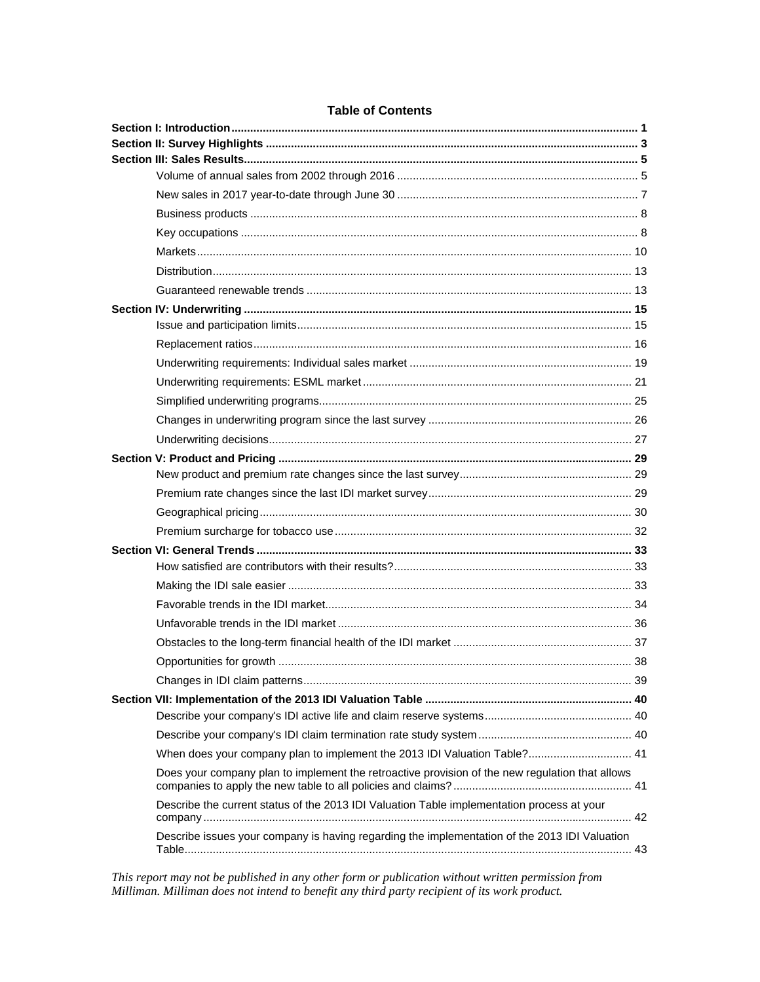| When does your company plan to implement the 2013 IDI Valuation Table? 41                       |  |
|-------------------------------------------------------------------------------------------------|--|
| Does your company plan to implement the retroactive provision of the new regulation that allows |  |
| Describe the current status of the 2013 IDI Valuation Table implementation process at your      |  |
| Describe issues your company is having regarding the implementation of the 2013 IDI Valuation   |  |

## **Table of Contents**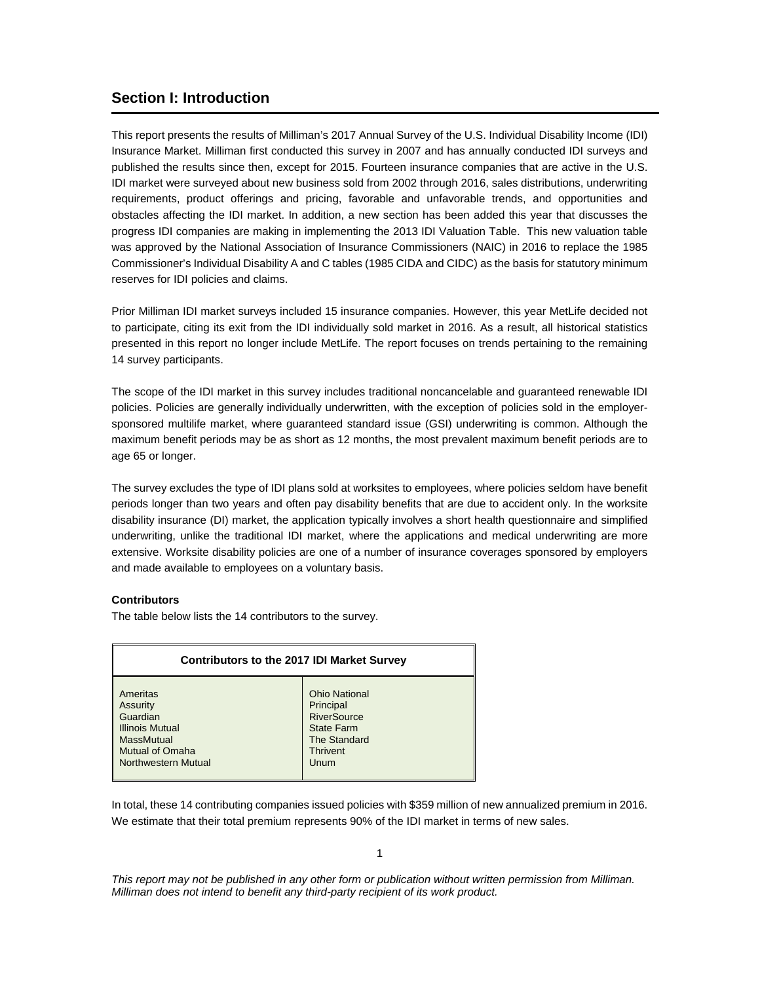## **Section I: Introduction**

This report presents the results of Milliman's 2017 Annual Survey of the U.S. Individual Disability Income (IDI) Insurance Market. Milliman first conducted this survey in 2007 and has annually conducted IDI surveys and published the results since then, except for 2015. Fourteen insurance companies that are active in the U.S. IDI market were surveyed about new business sold from 2002 through 2016, sales distributions, underwriting requirements, product offerings and pricing, favorable and unfavorable trends, and opportunities and obstacles affecting the IDI market. In addition, a new section has been added this year that discusses the progress IDI companies are making in implementing the 2013 IDI Valuation Table. This new valuation table was approved by the National Association of Insurance Commissioners (NAIC) in 2016 to replace the 1985 Commissioner's Individual Disability A and C tables (1985 CIDA and CIDC) as the basis for statutory minimum reserves for IDI policies and claims.

Prior Milliman IDI market surveys included 15 insurance companies. However, this year MetLife decided not to participate, citing its exit from the IDI individually sold market in 2016. As a result, all historical statistics presented in this report no longer include MetLife. The report focuses on trends pertaining to the remaining 14 survey participants.

The scope of the IDI market in this survey includes traditional noncancelable and guaranteed renewable IDI policies. Policies are generally individually underwritten, with the exception of policies sold in the employersponsored multilife market, where guaranteed standard issue (GSI) underwriting is common. Although the maximum benefit periods may be as short as 12 months, the most prevalent maximum benefit periods are to age 65 or longer.

The survey excludes the type of IDI plans sold at worksites to employees, where policies seldom have benefit periods longer than two years and often pay disability benefits that are due to accident only. In the worksite disability insurance (DI) market, the application typically involves a short health questionnaire and simplified underwriting, unlike the traditional IDI market, where the applications and medical underwriting are more extensive. Worksite disability policies are one of a number of insurance coverages sponsored by employers and made available to employees on a voluntary basis.

#### **Contributors**

The table below lists the 14 contributors to the survey.

| <b>Contributors to the 2017 IDI Market Survey</b> |                      |  |  |  |  |
|---------------------------------------------------|----------------------|--|--|--|--|
| Ameritas                                          | <b>Ohio National</b> |  |  |  |  |
| <b>Assurity</b>                                   | Principal            |  |  |  |  |
| Guardian                                          | <b>RiverSource</b>   |  |  |  |  |
| <b>Illinois Mutual</b>                            | <b>State Farm</b>    |  |  |  |  |
| <b>MassMutual</b>                                 | <b>The Standard</b>  |  |  |  |  |
| <b>Mutual of Omaha</b>                            | <b>Thrivent</b>      |  |  |  |  |
| Northwestern Mutual                               | Unum                 |  |  |  |  |

In total, these 14 contributing companies issued policies with \$359 million of new annualized premium in 2016. We estimate that their total premium represents 90% of the IDI market in terms of new sales.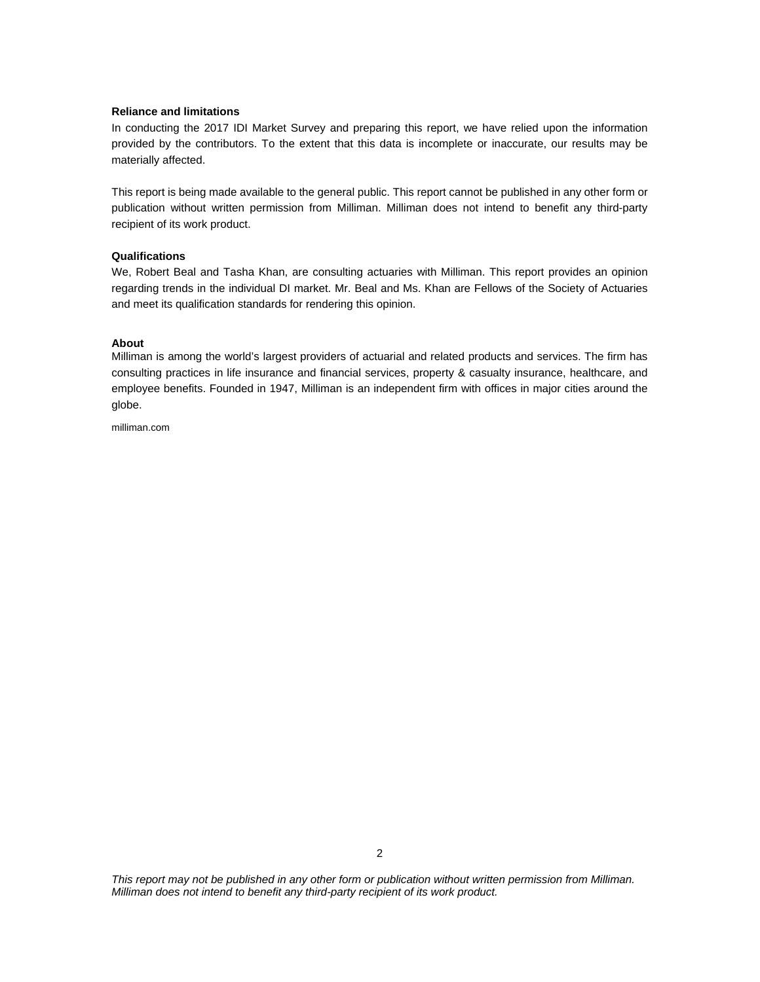#### **Reliance and limitations**

In conducting the 2017 IDI Market Survey and preparing this report, we have relied upon the information provided by the contributors. To the extent that this data is incomplete or inaccurate, our results may be materially affected.

This report is being made available to the general public. This report cannot be published in any other form or publication without written permission from Milliman. Milliman does not intend to benefit any third-party recipient of its work product.

#### **Qualifications**

We, Robert Beal and Tasha Khan, are consulting actuaries with Milliman. This report provides an opinion regarding trends in the individual DI market. Mr. Beal and Ms. Khan are Fellows of the Society of Actuaries and meet its qualification standards for rendering this opinion.

#### **About**

Milliman is among the world's largest providers of actuarial and related products and services. The firm has consulting practices in life insurance and financial services, property & casualty insurance, healthcare, and employee benefits. Founded in 1947, Milliman is an independent firm with offices in major cities around the globe.

milliman.com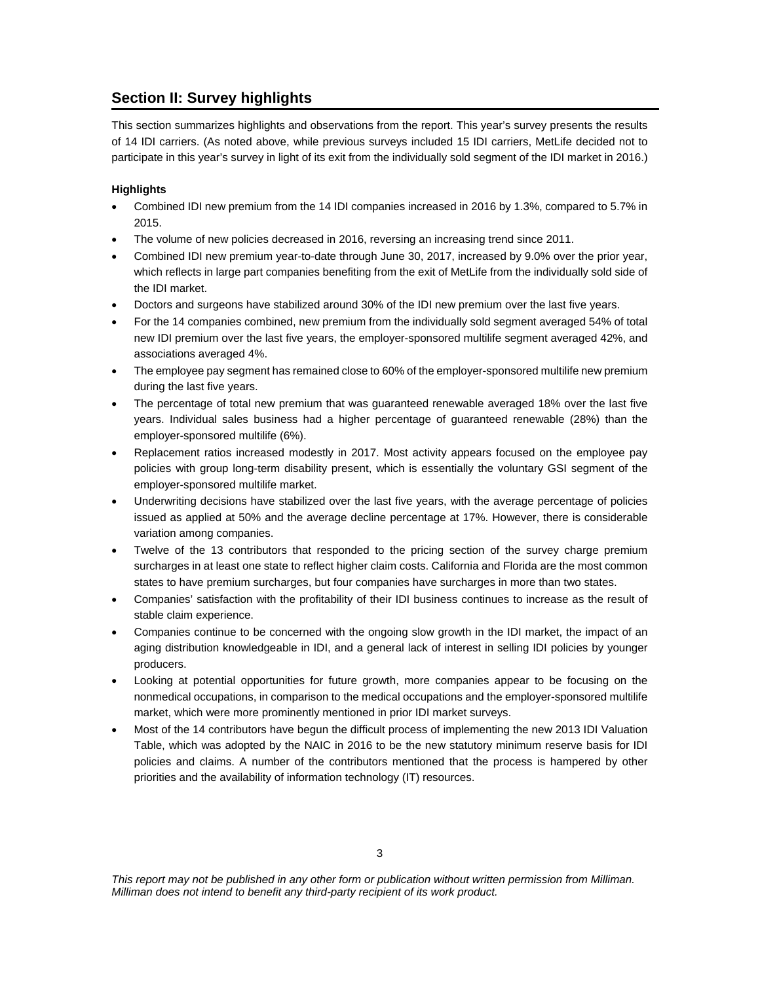## **Section II: Survey highlights**

This section summarizes highlights and observations from the report. This year's survey presents the results of 14 IDI carriers. (As noted above, while previous surveys included 15 IDI carriers, MetLife decided not to participate in this year's survey in light of its exit from the individually sold segment of the IDI market in 2016.)

## **Highlights**

- Combined IDI new premium from the 14 IDI companies increased in 2016 by 1.3%, compared to 5.7% in 2015.
- The volume of new policies decreased in 2016, reversing an increasing trend since 2011.
- Combined IDI new premium year-to-date through June 30, 2017, increased by 9.0% over the prior year, which reflects in large part companies benefiting from the exit of MetLife from the individually sold side of the IDI market.
- Doctors and surgeons have stabilized around 30% of the IDI new premium over the last five years.
- For the 14 companies combined, new premium from the individually sold segment averaged 54% of total new IDI premium over the last five years, the employer-sponsored multilife segment averaged 42%, and associations averaged 4%.
- The employee pay segment has remained close to 60% of the employer-sponsored multilife new premium during the last five years.
- The percentage of total new premium that was guaranteed renewable averaged 18% over the last five years. Individual sales business had a higher percentage of guaranteed renewable (28%) than the employer-sponsored multilife (6%).
- Replacement ratios increased modestly in 2017. Most activity appears focused on the employee pay policies with group long-term disability present, which is essentially the voluntary GSI segment of the employer-sponsored multilife market.
- Underwriting decisions have stabilized over the last five years, with the average percentage of policies issued as applied at 50% and the average decline percentage at 17%. However, there is considerable variation among companies.
- Twelve of the 13 contributors that responded to the pricing section of the survey charge premium surcharges in at least one state to reflect higher claim costs. California and Florida are the most common states to have premium surcharges, but four companies have surcharges in more than two states.
- Companies' satisfaction with the profitability of their IDI business continues to increase as the result of stable claim experience.
- Companies continue to be concerned with the ongoing slow growth in the IDI market, the impact of an aging distribution knowledgeable in IDI, and a general lack of interest in selling IDI policies by younger producers.
- Looking at potential opportunities for future growth, more companies appear to be focusing on the nonmedical occupations, in comparison to the medical occupations and the employer-sponsored multilife market, which were more prominently mentioned in prior IDI market surveys.
- Most of the 14 contributors have begun the difficult process of implementing the new 2013 IDI Valuation Table, which was adopted by the NAIC in 2016 to be the new statutory minimum reserve basis for IDI policies and claims. A number of the contributors mentioned that the process is hampered by other priorities and the availability of information technology (IT) resources.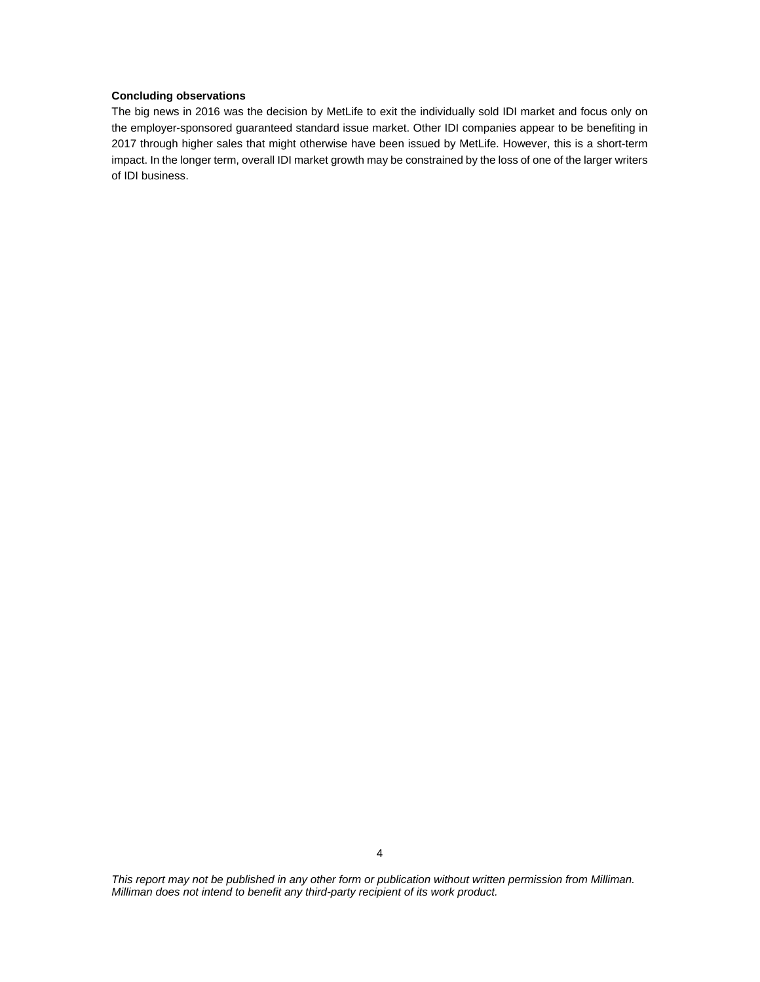## **Concluding observations**

The big news in 2016 was the decision by MetLife to exit the individually sold IDI market and focus only on the employer-sponsored guaranteed standard issue market. Other IDI companies appear to be benefiting in 2017 through higher sales that might otherwise have been issued by MetLife. However, this is a short-term impact. In the longer term, overall IDI market growth may be constrained by the loss of one of the larger writers of IDI business.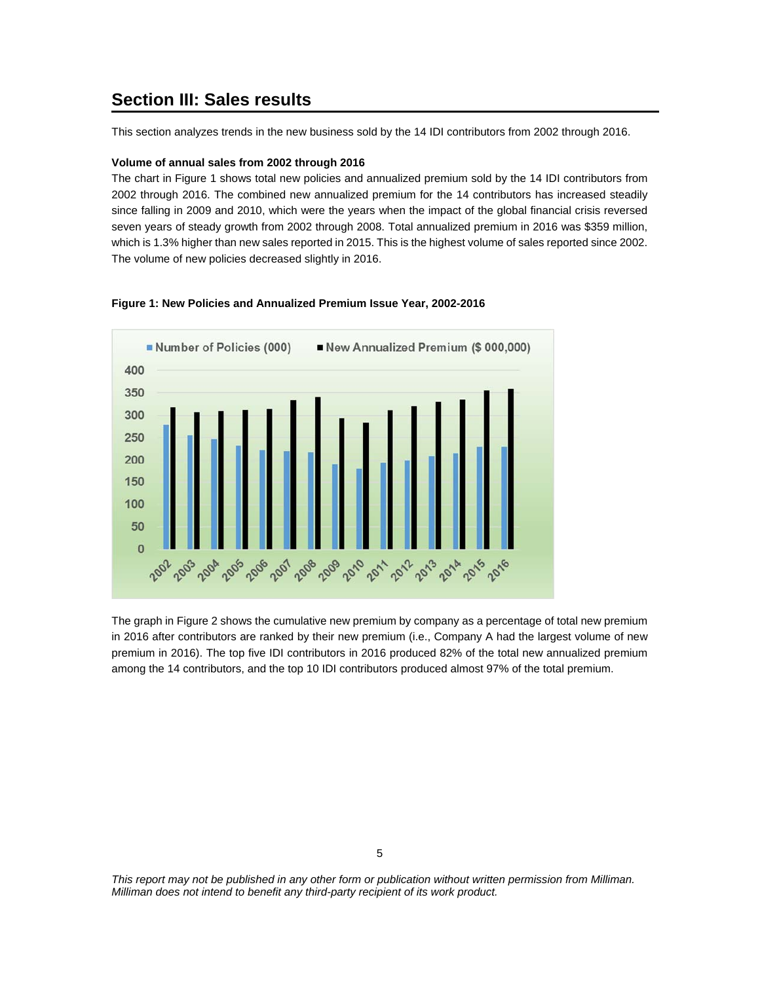## **Section III: Sales results**

This section analyzes trends in the new business sold by the 14 IDI contributors from 2002 through 2016.

#### **Volume of annual sales from 2002 through 2016**

The chart in Figure 1 shows total new policies and annualized premium sold by the 14 IDI contributors from 2002 through 2016. The combined new annualized premium for the 14 contributors has increased steadily since falling in 2009 and 2010, which were the years when the impact of the global financial crisis reversed seven years of steady growth from 2002 through 2008. Total annualized premium in 2016 was \$359 million, which is 1.3% higher than new sales reported in 2015. This is the highest volume of sales reported since 2002. The volume of new policies decreased slightly in 2016.



#### **Figure 1: New Policies and Annualized Premium Issue Year, 2002-2016**

The graph in Figure 2 shows the cumulative new premium by company as a percentage of total new premium in 2016 after contributors are ranked by their new premium (i.e., Company A had the largest volume of new premium in 2016). The top five IDI contributors in 2016 produced 82% of the total new annualized premium among the 14 contributors, and the top 10 IDI contributors produced almost 97% of the total premium.

5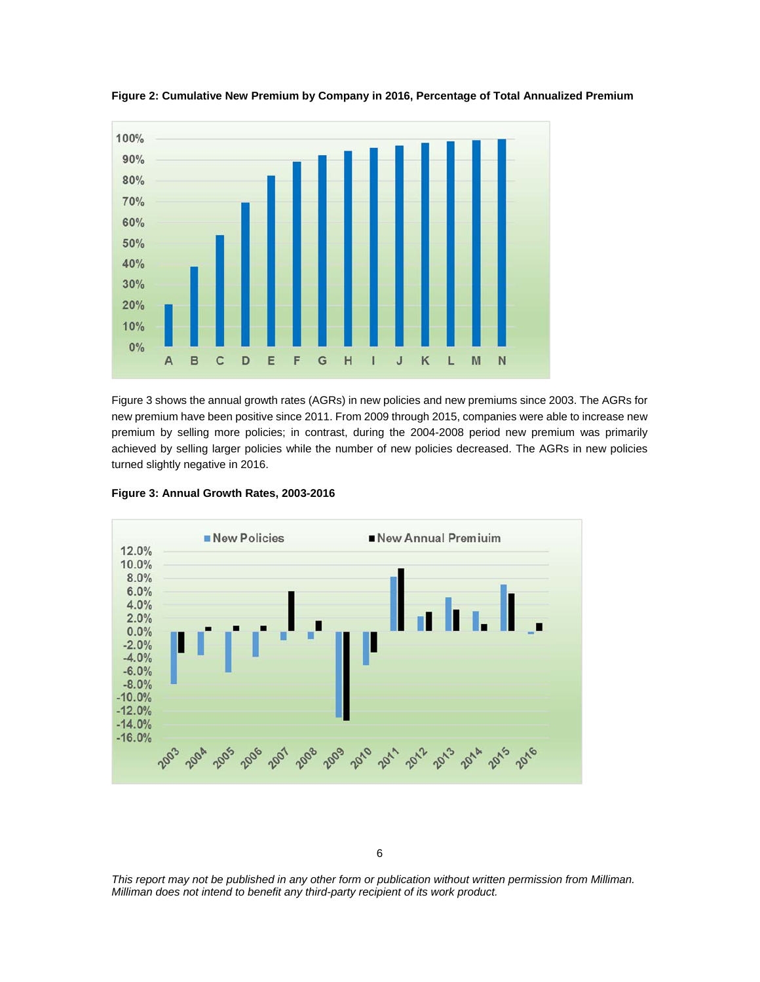

**Figure 2: Cumulative New Premium by Company in 2016, Percentage of Total Annualized Premium** 

Figure 3 shows the annual growth rates (AGRs) in new policies and new premiums since 2003. The AGRs for new premium have been positive since 2011. From 2009 through 2015, companies were able to increase new premium by selling more policies; in contrast, during the 2004-2008 period new premium was primarily achieved by selling larger policies while the number of new policies decreased. The AGRs in new policies turned slightly negative in 2016.



**Figure 3: Annual Growth Rates, 2003-2016** 

6

*This report may not be published in any other form or publication without written permission from Milliman. Milliman does not intend to benefit any third-party recipient of its work product.*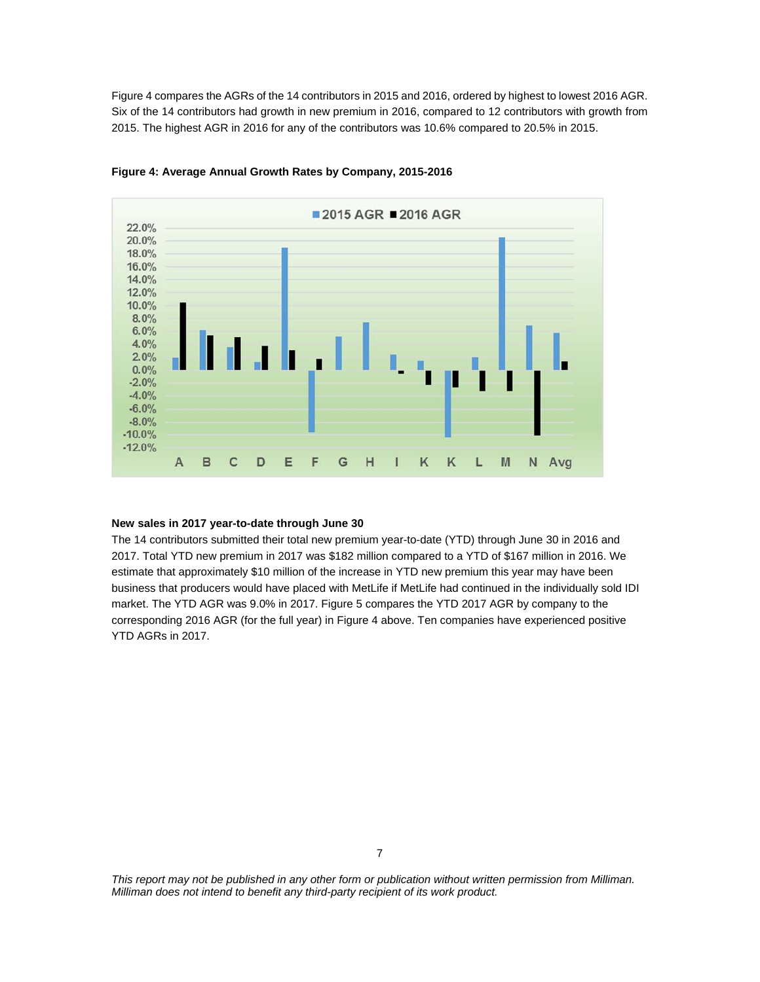Figure 4 compares the AGRs of the 14 contributors in 2015 and 2016, ordered by highest to lowest 2016 AGR. Six of the 14 contributors had growth in new premium in 2016, compared to 12 contributors with growth from 2015. The highest AGR in 2016 for any of the contributors was 10.6% compared to 20.5% in 2015.



#### **Figure 4: Average Annual Growth Rates by Company, 2015-2016**

#### **New sales in 2017 year-to-date through June 30**

The 14 contributors submitted their total new premium year-to-date (YTD) through June 30 in 2016 and 2017. Total YTD new premium in 2017 was \$182 million compared to a YTD of \$167 million in 2016. We estimate that approximately \$10 million of the increase in YTD new premium this year may have been business that producers would have placed with MetLife if MetLife had continued in the individually sold IDI market. The YTD AGR was 9.0% in 2017. Figure 5 compares the YTD 2017 AGR by company to the corresponding 2016 AGR (for the full year) in Figure 4 above. Ten companies have experienced positive YTD AGRs in 2017.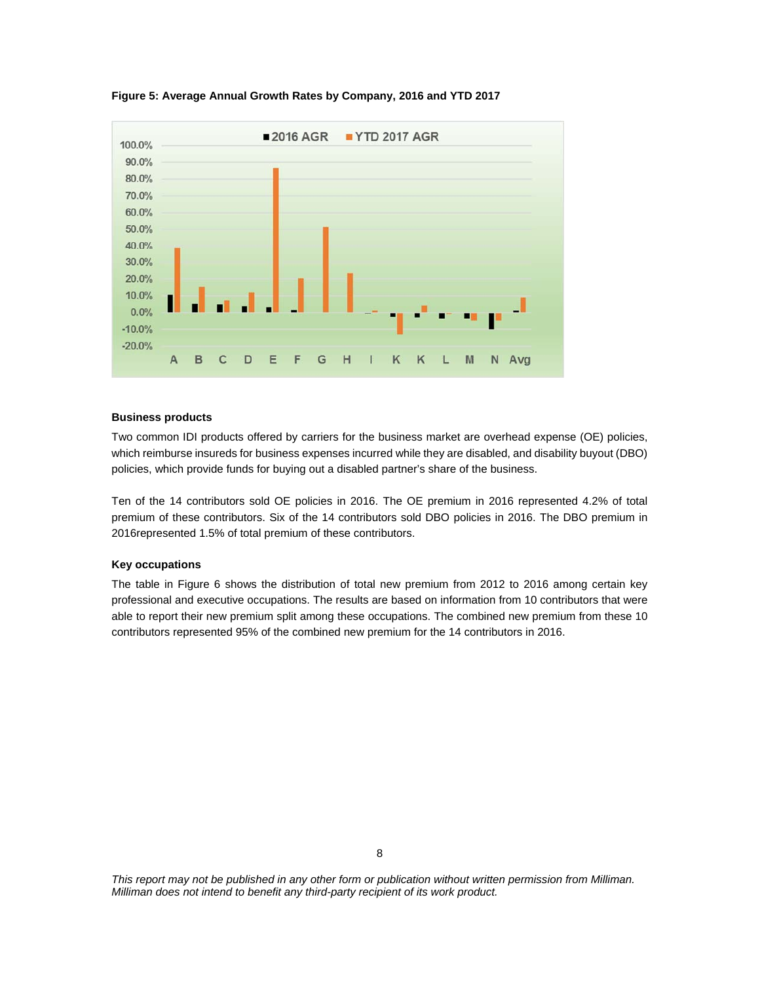

**Figure 5: Average Annual Growth Rates by Company, 2016 and YTD 2017** 

#### **Business products**

Two common IDI products offered by carriers for the business market are overhead expense (OE) policies, which reimburse insureds for business expenses incurred while they are disabled, and disability buyout (DBO) policies, which provide funds for buying out a disabled partner's share of the business.

Ten of the 14 contributors sold OE policies in 2016. The OE premium in 2016 represented 4.2% of total premium of these contributors. Six of the 14 contributors sold DBO policies in 2016. The DBO premium in 2016represented 1.5% of total premium of these contributors.

#### **Key occupations**

The table in Figure 6 shows the distribution of total new premium from 2012 to 2016 among certain key professional and executive occupations. The results are based on information from 10 contributors that were able to report their new premium split among these occupations. The combined new premium from these 10 contributors represented 95% of the combined new premium for the 14 contributors in 2016.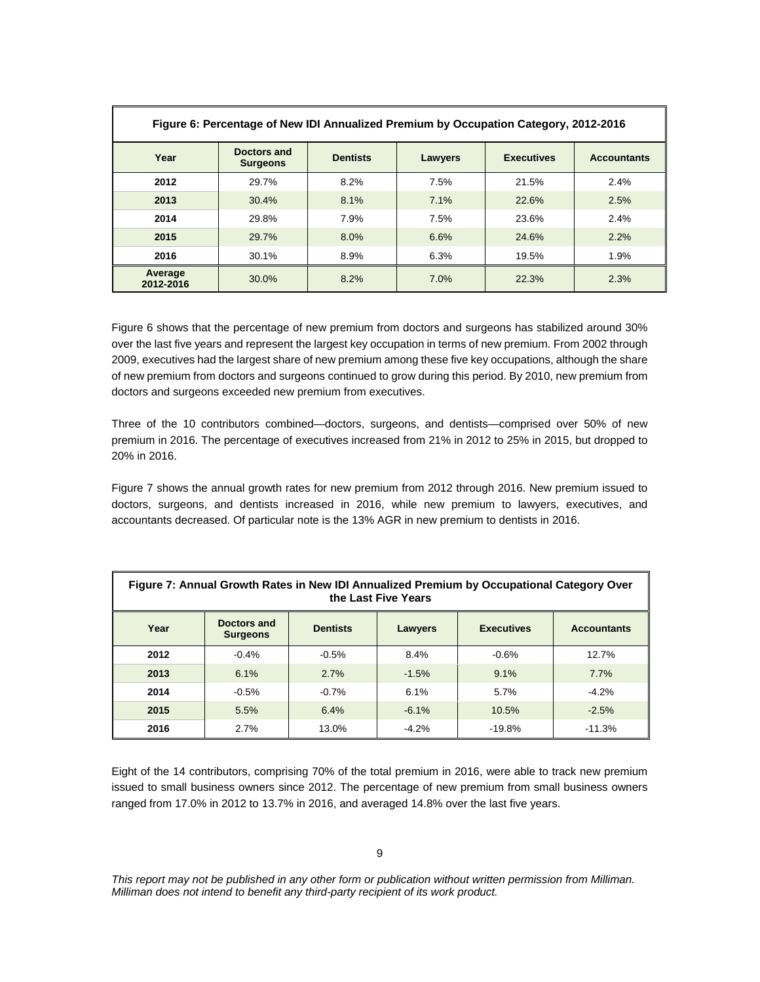| Figure 6: Percentage of New IDI Annualized Premium by Occupation Category, 2012-2016 |                                |                 |         |                   |                    |  |  |
|--------------------------------------------------------------------------------------|--------------------------------|-----------------|---------|-------------------|--------------------|--|--|
| Year                                                                                 | Doctors and<br><b>Surgeons</b> | <b>Dentists</b> | Lawyers | <b>Executives</b> | <b>Accountants</b> |  |  |
| 2012                                                                                 | 29.7%                          | 8.2%            | 7.5%    | 21.5%             | $2.4\%$            |  |  |
| 2013                                                                                 | 30.4%                          | 8.1%            | 7.1%    | 22.6%             | 2.5%               |  |  |
| 2014                                                                                 | 29.8%                          | 7.9%            | 7.5%    | 23.6%             | 2.4%               |  |  |
| 2015                                                                                 | 29.7%                          | 8.0%            | 6.6%    | 24.6%             | 2.2%               |  |  |
| 2016                                                                                 | 30.1%                          | 8.9%            | 6.3%    | 19.5%             | 1.9%               |  |  |
| Average<br>2012-2016                                                                 | 30.0%                          | 8.2%            | 7.0%    | 22.3%             | 2.3%               |  |  |

Figure 6 shows that the percentage of new premium from doctors and surgeons has stabilized around 30% over the last five years and represent the largest key occupation in terms of new premium. From 2002 through 2009, executives had the largest share of new premium among these five key occupations, although the share of new premium from doctors and surgeons continued to grow during this period. By 2010, new premium from doctors and surgeons exceeded new premium from executives.

Three of the 10 contributors combined—doctors, surgeons, and dentists—comprised over 50% of new premium in 2016. The percentage of executives increased from 21% in 2012 to 25% in 2015, but dropped to 20% in 2016.

Figure 7 shows the annual growth rates for new premium from 2012 through 2016. New premium issued to doctors, surgeons, and dentists increased in 2016, while new premium to lawyers, executives, and accountants decreased. Of particular note is the 13% AGR in new premium to dentists in 2016.

| Figure 7: Annual Growth Rates in New IDI Annualized Premium by Occupational Category Over<br>the Last Five Years |         |         |          |          |          |  |  |  |
|------------------------------------------------------------------------------------------------------------------|---------|---------|----------|----------|----------|--|--|--|
| Doctors and<br>Year<br><b>Dentists</b><br><b>Executives</b><br><b>Accountants</b><br>Lawyers<br><b>Surgeons</b>  |         |         |          |          |          |  |  |  |
| 2012                                                                                                             | $-0.4%$ | $-0.5%$ | 8.4%     | $-0.6%$  | 12.7%    |  |  |  |
| 2013                                                                                                             | 6.1%    | 2.7%    | $-1.5%$  | 9.1%     | 7.7%     |  |  |  |
| 2014                                                                                                             | $-0.5%$ | $-0.7%$ | 6.1%     | 5.7%     | $-4.2%$  |  |  |  |
| 2015                                                                                                             | 5.5%    | 6.4%    | $-6.1\%$ | 10.5%    | $-2.5%$  |  |  |  |
| 2016                                                                                                             | 2.7%    | 13.0%   | $-4.2%$  | $-19.8%$ | $-11.3%$ |  |  |  |

Eight of the 14 contributors, comprising 70% of the total premium in 2016, were able to track new premium issued to small business owners since 2012. The percentage of new premium from small business owners ranged from 17.0% in 2012 to 13.7% in 2016, and averaged 14.8% over the last five years.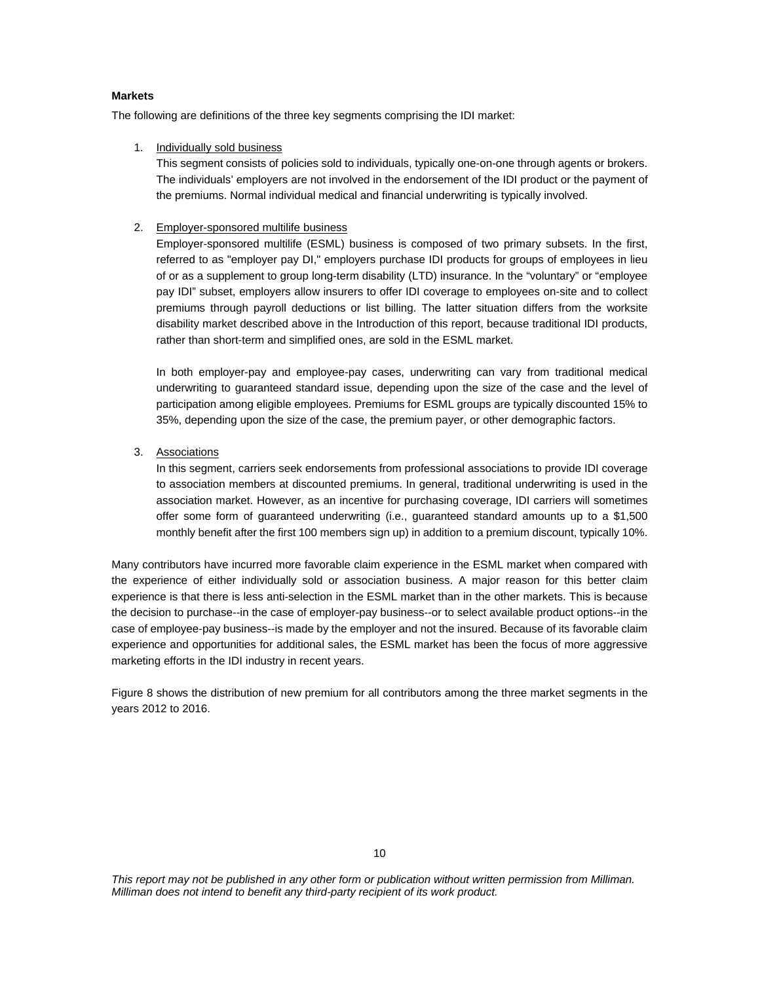## **Markets**

The following are definitions of the three key segments comprising the IDI market:

1. Individually sold business

This segment consists of policies sold to individuals, typically one-on-one through agents or brokers. The individuals' employers are not involved in the endorsement of the IDI product or the payment of the premiums. Normal individual medical and financial underwriting is typically involved.

2. Employer-sponsored multilife business

Employer-sponsored multilife (ESML) business is composed of two primary subsets. In the first, referred to as "employer pay DI," employers purchase IDI products for groups of employees in lieu of or as a supplement to group long-term disability (LTD) insurance. In the "voluntary" or "employee pay IDI" subset, employers allow insurers to offer IDI coverage to employees on-site and to collect premiums through payroll deductions or list billing. The latter situation differs from the worksite disability market described above in the Introduction of this report, because traditional IDI products, rather than short-term and simplified ones, are sold in the ESML market.

In both employer-pay and employee-pay cases, underwriting can vary from traditional medical underwriting to guaranteed standard issue, depending upon the size of the case and the level of participation among eligible employees. Premiums for ESML groups are typically discounted 15% to 35%, depending upon the size of the case, the premium payer, or other demographic factors.

3. Associations

In this segment, carriers seek endorsements from professional associations to provide IDI coverage to association members at discounted premiums. In general, traditional underwriting is used in the association market. However, as an incentive for purchasing coverage, IDI carriers will sometimes offer some form of guaranteed underwriting (i.e., guaranteed standard amounts up to a \$1,500 monthly benefit after the first 100 members sign up) in addition to a premium discount, typically 10%.

Many contributors have incurred more favorable claim experience in the ESML market when compared with the experience of either individually sold or association business. A major reason for this better claim experience is that there is less anti-selection in the ESML market than in the other markets. This is because the decision to purchase--in the case of employer-pay business--or to select available product options--in the case of employee-pay business--is made by the employer and not the insured. Because of its favorable claim experience and opportunities for additional sales, the ESML market has been the focus of more aggressive marketing efforts in the IDI industry in recent years.

Figure 8 shows the distribution of new premium for all contributors among the three market segments in the years 2012 to 2016.

10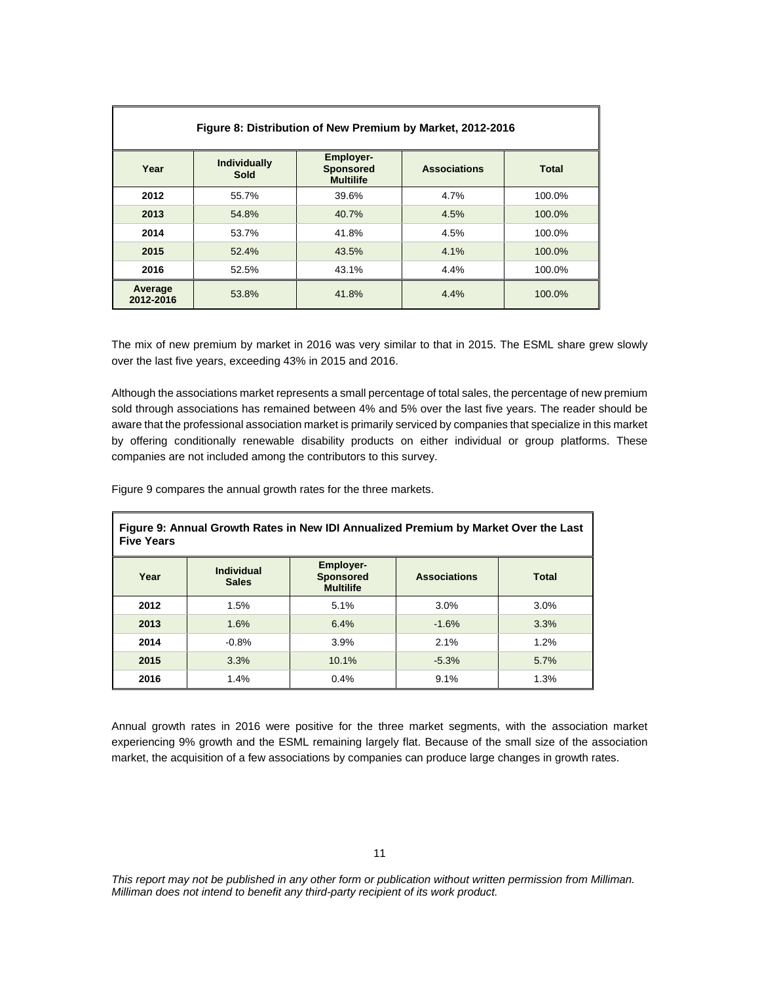| Figure 8: Distribution of New Premium by Market, 2012-2016 |                             |                                                          |                     |              |  |  |  |
|------------------------------------------------------------|-----------------------------|----------------------------------------------------------|---------------------|--------------|--|--|--|
| Year                                                       | <b>Individually</b><br>Sold | <b>Employer-</b><br><b>Sponsored</b><br><b>Multilife</b> | <b>Associations</b> | <b>Total</b> |  |  |  |
| 2012                                                       | 55.7%                       | 39.6%                                                    | 4.7%                | 100.0%       |  |  |  |
| 2013                                                       | 54.8%                       | 40.7%                                                    | 4.5%                | 100.0%       |  |  |  |
| 2014                                                       | 53.7%                       | 41.8%                                                    | 4.5%                | 100.0%       |  |  |  |
| 2015                                                       | 52.4%                       | 43.5%                                                    | 4.1%                | 100.0%       |  |  |  |
| 2016                                                       | 52.5%                       | 43.1%                                                    | 4.4%                | 100.0%       |  |  |  |
| Average<br>2012-2016                                       | 53.8%                       | 41.8%                                                    | 4.4%                | 100.0%       |  |  |  |

The mix of new premium by market in 2016 was very similar to that in 2015. The ESML share grew slowly over the last five years, exceeding 43% in 2015 and 2016.

Although the associations market represents a small percentage of total sales, the percentage of new premium sold through associations has remained between 4% and 5% over the last five years. The reader should be aware that the professional association market is primarily serviced by companies that specialize in this market by offering conditionally renewable disability products on either individual or group platforms. These companies are not included among the contributors to this survey.

Figure 9 compares the annual growth rates for the three markets.

| Figure 9: Annual Growth Rates in New IDI Annualized Premium by Market Over the Last<br><b>Five Years</b> |                                   |                                                          |                     |              |  |  |  |
|----------------------------------------------------------------------------------------------------------|-----------------------------------|----------------------------------------------------------|---------------------|--------------|--|--|--|
| Year                                                                                                     | <b>Individual</b><br><b>Sales</b> | <b>Employer-</b><br><b>Sponsored</b><br><b>Multilife</b> | <b>Associations</b> | <b>Total</b> |  |  |  |
| 2012                                                                                                     | 1.5%                              | 5.1%                                                     | 3.0%                | 3.0%         |  |  |  |
| 2013                                                                                                     | 1.6%                              | 6.4%                                                     | $-1.6%$             | 3.3%         |  |  |  |
| 2014                                                                                                     | $-0.8%$                           | 3.9%                                                     | 2.1%                | 1.2%         |  |  |  |
| 2015                                                                                                     | 3.3%                              | 10.1%                                                    | $-5.3%$             | 5.7%         |  |  |  |
| 2016                                                                                                     | 1.4%                              | 0.4%                                                     | 9.1%                | 1.3%         |  |  |  |

Annual growth rates in 2016 were positive for the three market segments, with the association market experiencing 9% growth and the ESML remaining largely flat. Because of the small size of the association market, the acquisition of a few associations by companies can produce large changes in growth rates.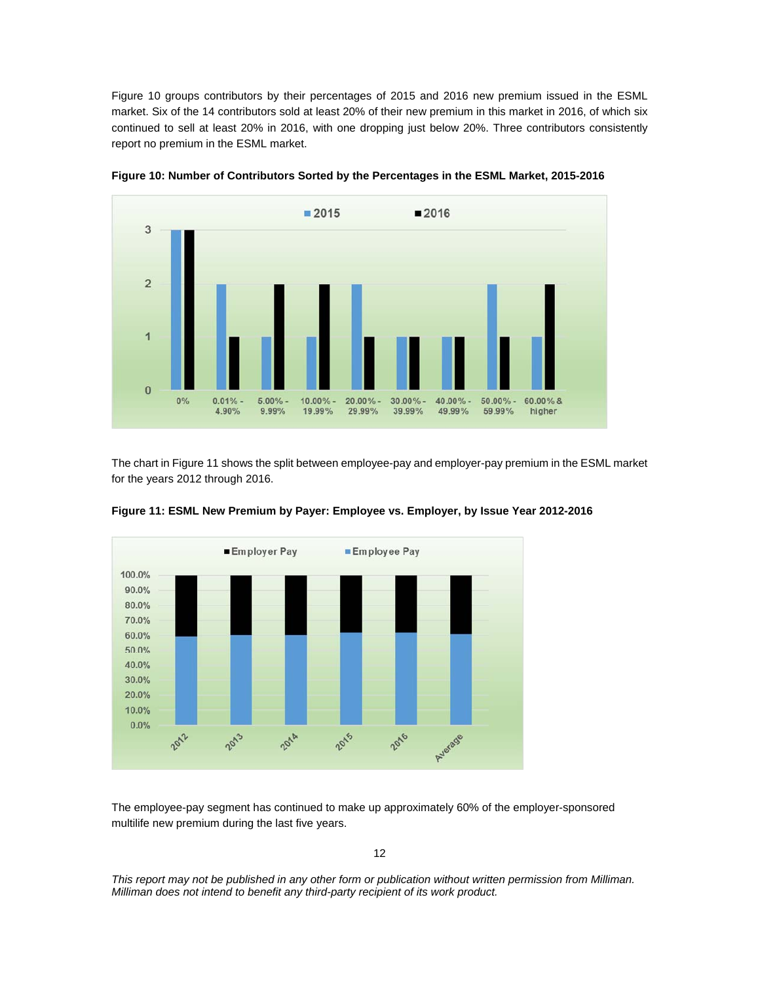Figure 10 groups contributors by their percentages of 2015 and 2016 new premium issued in the ESML market. Six of the 14 contributors sold at least 20% of their new premium in this market in 2016, of which six continued to sell at least 20% in 2016, with one dropping just below 20%. Three contributors consistently report no premium in the ESML market.





The chart in Figure 11 shows the split between employee-pay and employer-pay premium in the ESML market for the years 2012 through 2016.





The employee-pay segment has continued to make up approximately 60% of the employer-sponsored multilife new premium during the last five years.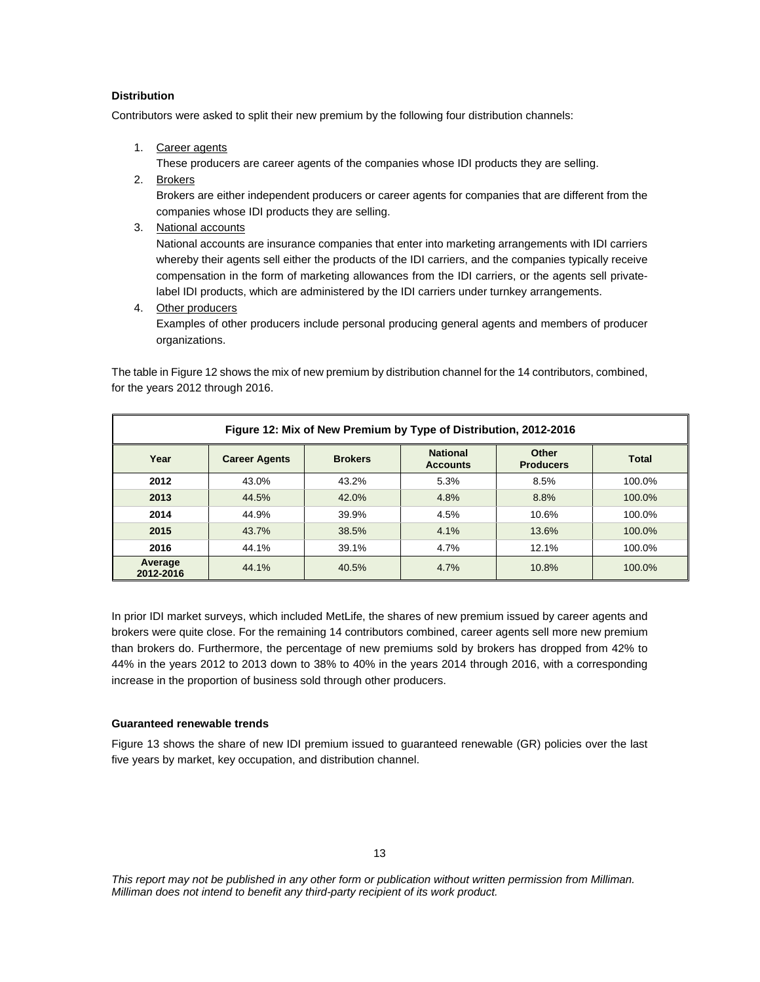## **Distribution**

Contributors were asked to split their new premium by the following four distribution channels:

1. Career agents

These producers are career agents of the companies whose IDI products they are selling.

2. Brokers

Brokers are either independent producers or career agents for companies that are different from the companies whose IDI products they are selling.

3. National accounts

National accounts are insurance companies that enter into marketing arrangements with IDI carriers whereby their agents sell either the products of the IDI carriers, and the companies typically receive compensation in the form of marketing allowances from the IDI carriers, or the agents sell privatelabel IDI products, which are administered by the IDI carriers under turnkey arrangements.

4. Other producers

Examples of other producers include personal producing general agents and members of producer organizations.

The table in Figure 12 shows the mix of new premium by distribution channel for the 14 contributors, combined, for the years 2012 through 2016.

| Figure 12: Mix of New Premium by Type of Distribution, 2012-2016 |                      |                |                                    |                           |              |  |  |  |
|------------------------------------------------------------------|----------------------|----------------|------------------------------------|---------------------------|--------------|--|--|--|
| Year                                                             | <b>Career Agents</b> | <b>Brokers</b> | <b>National</b><br><b>Accounts</b> | Other<br><b>Producers</b> | <b>Total</b> |  |  |  |
| 2012                                                             | 43.0%                | 43.2%          | 5.3%                               | 8.5%                      | 100.0%       |  |  |  |
| 2013                                                             | 44.5%                | 42.0%          | 4.8%                               | 8.8%                      | 100.0%       |  |  |  |
| 2014                                                             | 44.9%                | 39.9%          | 4.5%                               | 10.6%                     | 100.0%       |  |  |  |
| 2015                                                             | 43.7%                | 38.5%          | 4.1%                               | 13.6%                     | 100.0%       |  |  |  |
| 2016                                                             | 44.1%                | 39.1%          | 4.7%                               | 12.1%                     | 100.0%       |  |  |  |
| Average<br>2012-2016                                             | 44.1%                | 40.5%          | 4.7%                               | 10.8%                     | 100.0%       |  |  |  |

In prior IDI market surveys, which included MetLife, the shares of new premium issued by career agents and brokers were quite close. For the remaining 14 contributors combined, career agents sell more new premium than brokers do. Furthermore, the percentage of new premiums sold by brokers has dropped from 42% to 44% in the years 2012 to 2013 down to 38% to 40% in the years 2014 through 2016, with a corresponding increase in the proportion of business sold through other producers.

## **Guaranteed renewable trends**

Figure 13 shows the share of new IDI premium issued to guaranteed renewable (GR) policies over the last five years by market, key occupation, and distribution channel.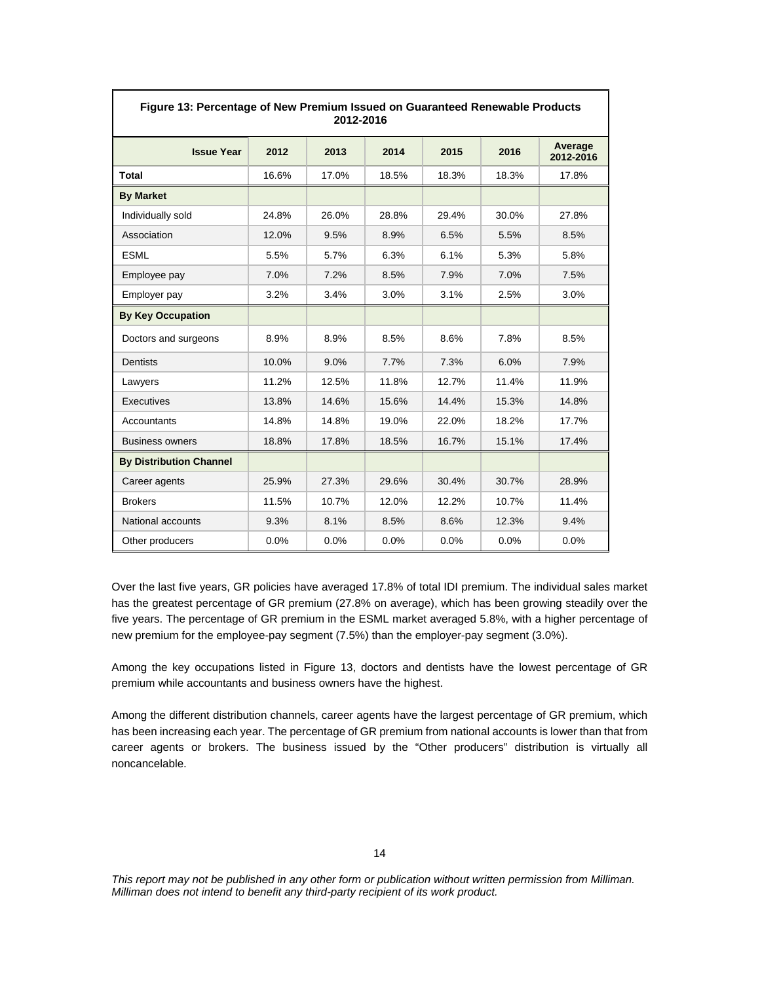| Figure 13: Percentage of New Premium Issued on Guaranteed Renewable Products<br>2012-2016 |       |       |       |       |       |                      |  |
|-------------------------------------------------------------------------------------------|-------|-------|-------|-------|-------|----------------------|--|
| <b>Issue Year</b>                                                                         | 2012  | 2013  | 2014  | 2015  | 2016  | Average<br>2012-2016 |  |
| <b>Total</b>                                                                              | 16.6% | 17.0% | 18.5% | 18.3% | 18.3% | 17.8%                |  |
| <b>By Market</b>                                                                          |       |       |       |       |       |                      |  |
| Individually sold                                                                         | 24.8% | 26.0% | 28.8% | 29.4% | 30.0% | 27.8%                |  |
| Association                                                                               | 12.0% | 9.5%  | 8.9%  | 6.5%  | 5.5%  | 8.5%                 |  |
| <b>ESML</b>                                                                               | 5.5%  | 5.7%  | 6.3%  | 6.1%  | 5.3%  | 5.8%                 |  |
| Employee pay                                                                              | 7.0%  | 7.2%  | 8.5%  | 7.9%  | 7.0%  | 7.5%                 |  |
| Employer pay                                                                              | 3.2%  | 3.4%  | 3.0%  | 3.1%  | 2.5%  | 3.0%                 |  |
| <b>By Key Occupation</b>                                                                  |       |       |       |       |       |                      |  |
| Doctors and surgeons                                                                      | 8.9%  | 8.9%  | 8.5%  | 8.6%  | 7.8%  | 8.5%                 |  |
| Dentists                                                                                  | 10.0% | 9.0%  | 7.7%  | 7.3%  | 6.0%  | 7.9%                 |  |
| Lawyers                                                                                   | 11.2% | 12.5% | 11.8% | 12.7% | 11.4% | 11.9%                |  |
| Executives                                                                                | 13.8% | 14.6% | 15.6% | 14.4% | 15.3% | 14.8%                |  |
| Accountants                                                                               | 14.8% | 14.8% | 19.0% | 22.0% | 18.2% | 17.7%                |  |
| <b>Business owners</b>                                                                    | 18.8% | 17.8% | 18.5% | 16.7% | 15.1% | 17.4%                |  |
| <b>By Distribution Channel</b>                                                            |       |       |       |       |       |                      |  |
| Career agents                                                                             | 25.9% | 27.3% | 29.6% | 30.4% | 30.7% | 28.9%                |  |
| <b>Brokers</b>                                                                            | 11.5% | 10.7% | 12.0% | 12.2% | 10.7% | 11.4%                |  |
| National accounts                                                                         | 9.3%  | 8.1%  | 8.5%  | 8.6%  | 12.3% | 9.4%                 |  |
| Other producers                                                                           | 0.0%  | 0.0%  | 0.0%  | 0.0%  | 0.0%  | 0.0%                 |  |

Over the last five years, GR policies have averaged 17.8% of total IDI premium. The individual sales market has the greatest percentage of GR premium (27.8% on average), which has been growing steadily over the five years. The percentage of GR premium in the ESML market averaged 5.8%, with a higher percentage of new premium for the employee-pay segment (7.5%) than the employer-pay segment (3.0%).

Among the key occupations listed in Figure 13, doctors and dentists have the lowest percentage of GR premium while accountants and business owners have the highest.

Among the different distribution channels, career agents have the largest percentage of GR premium, which has been increasing each year. The percentage of GR premium from national accounts is lower than that from career agents or brokers. The business issued by the "Other producers" distribution is virtually all noncancelable.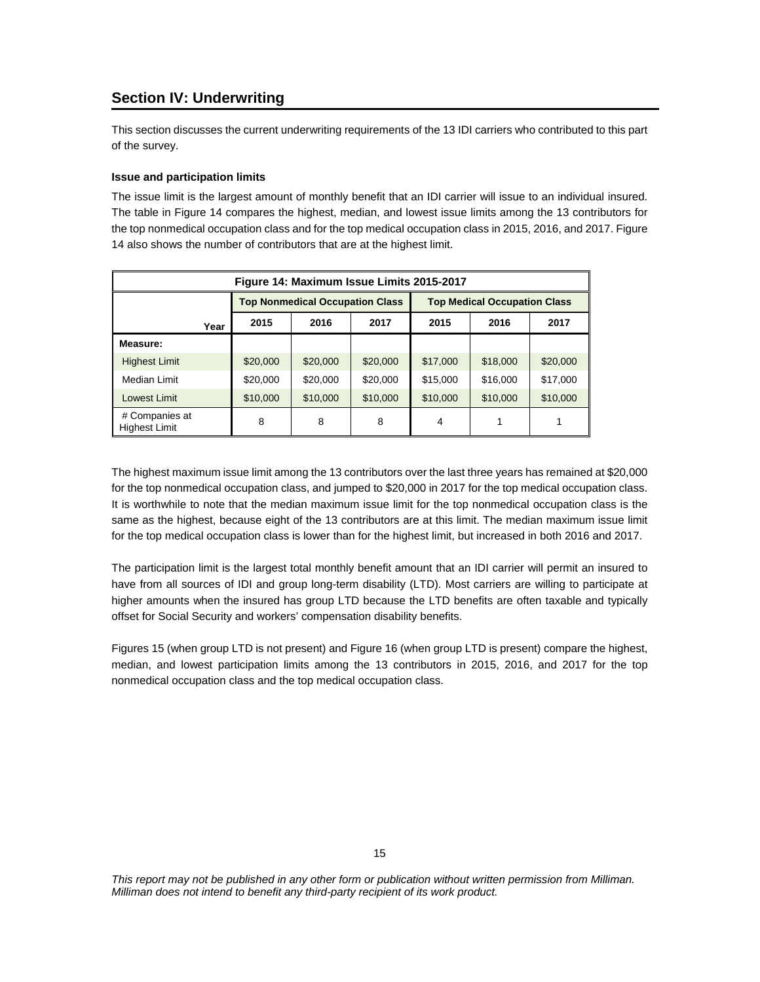## **Section IV: Underwriting**

This section discusses the current underwriting requirements of the 13 IDI carriers who contributed to this part of the survey.

## **Issue and participation limits**

The issue limit is the largest amount of monthly benefit that an IDI carrier will issue to an individual insured. The table in Figure 14 compares the highest, median, and lowest issue limits among the 13 contributors for the top nonmedical occupation class and for the top medical occupation class in 2015, 2016, and 2017. Figure 14 also shows the number of contributors that are at the highest limit.

| Figure 14: Maximum Issue Limits 2015-2017 |          |                                        |          |          |                                     |          |  |
|-------------------------------------------|----------|----------------------------------------|----------|----------|-------------------------------------|----------|--|
|                                           |          | <b>Top Nonmedical Occupation Class</b> |          |          | <b>Top Medical Occupation Class</b> |          |  |
| Year                                      | 2015     | 2016                                   | 2017     | 2015     | 2016                                | 2017     |  |
| Measure:                                  |          |                                        |          |          |                                     |          |  |
| <b>Highest Limit</b>                      | \$20,000 | \$20,000                               | \$20,000 | \$17,000 | \$18,000                            | \$20,000 |  |
| Median Limit                              | \$20,000 | \$20,000                               | \$20,000 | \$15,000 | \$16,000                            | \$17,000 |  |
| Lowest Limit                              | \$10,000 | \$10,000                               | \$10,000 | \$10,000 | \$10,000                            | \$10,000 |  |
| # Companies at<br><b>Highest Limit</b>    | 8        | 8                                      | 8        | 4        |                                     |          |  |

The highest maximum issue limit among the 13 contributors over the last three years has remained at \$20,000 for the top nonmedical occupation class, and jumped to \$20,000 in 2017 for the top medical occupation class. It is worthwhile to note that the median maximum issue limit for the top nonmedical occupation class is the same as the highest, because eight of the 13 contributors are at this limit. The median maximum issue limit for the top medical occupation class is lower than for the highest limit, but increased in both 2016 and 2017.

The participation limit is the largest total monthly benefit amount that an IDI carrier will permit an insured to have from all sources of IDI and group long-term disability (LTD). Most carriers are willing to participate at higher amounts when the insured has group LTD because the LTD benefits are often taxable and typically offset for Social Security and workers' compensation disability benefits.

Figures 15 (when group LTD is not present) and Figure 16 (when group LTD is present) compare the highest, median, and lowest participation limits among the 13 contributors in 2015, 2016, and 2017 for the top nonmedical occupation class and the top medical occupation class.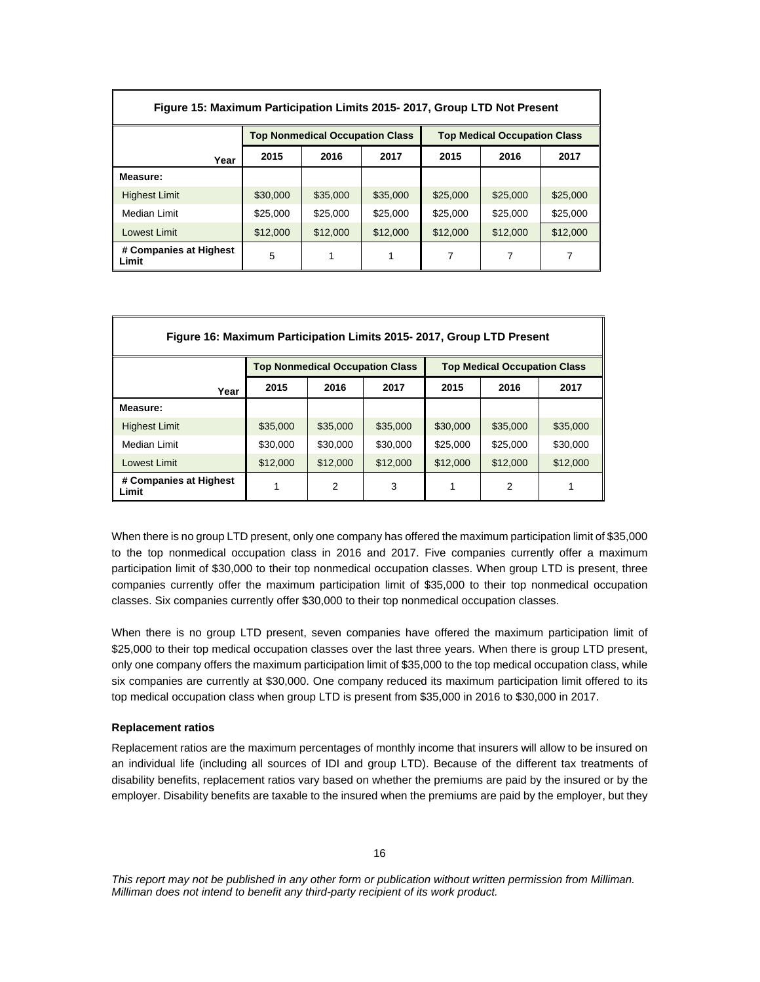| Figure 15: Maximum Participation Limits 2015-2017, Group LTD Not Present |          |                                        |          |                                     |          |          |  |
|--------------------------------------------------------------------------|----------|----------------------------------------|----------|-------------------------------------|----------|----------|--|
|                                                                          |          | <b>Top Nonmedical Occupation Class</b> |          | <b>Top Medical Occupation Class</b> |          |          |  |
| Year                                                                     | 2015     | 2016                                   | 2017     | 2015                                | 2016     | 2017     |  |
| Measure:                                                                 |          |                                        |          |                                     |          |          |  |
| <b>Highest Limit</b>                                                     | \$30,000 | \$35,000                               | \$35,000 | \$25,000                            | \$25,000 | \$25,000 |  |
| Median Limit                                                             | \$25,000 | \$25,000                               | \$25,000 | \$25,000                            | \$25,000 | \$25,000 |  |
| Lowest Limit                                                             | \$12,000 | \$12,000                               | \$12,000 | \$12,000                            | \$12,000 | \$12,000 |  |
| # Companies at Highest<br>Limit                                          | 5        | 1                                      | 1        | 7                                   | 7        | 7        |  |

| Figure 16: Maximum Participation Limits 2015-2017, Group LTD Present |                                        |          |          |          |                                     |          |
|----------------------------------------------------------------------|----------------------------------------|----------|----------|----------|-------------------------------------|----------|
|                                                                      | <b>Top Nonmedical Occupation Class</b> |          |          |          | <b>Top Medical Occupation Class</b> |          |
| Year                                                                 | 2015                                   | 2016     | 2017     | 2015     | 2016                                | 2017     |
| Measure:                                                             |                                        |          |          |          |                                     |          |
| <b>Highest Limit</b>                                                 | \$35,000                               | \$35,000 | \$35,000 | \$30,000 | \$35,000                            | \$35,000 |
| Median Limit                                                         | \$30,000                               | \$30,000 | \$30,000 | \$25,000 | \$25,000                            | \$30,000 |
| Lowest Limit                                                         | \$12,000                               | \$12,000 | \$12,000 | \$12,000 | \$12,000                            | \$12,000 |
| # Companies at Highest<br>Limit                                      |                                        | 2        | 3        |          | 2                                   |          |

When there is no group LTD present, only one company has offered the maximum participation limit of \$35,000 to the top nonmedical occupation class in 2016 and 2017. Five companies currently offer a maximum participation limit of \$30,000 to their top nonmedical occupation classes. When group LTD is present, three companies currently offer the maximum participation limit of \$35,000 to their top nonmedical occupation classes. Six companies currently offer \$30,000 to their top nonmedical occupation classes.

When there is no group LTD present, seven companies have offered the maximum participation limit of \$25,000 to their top medical occupation classes over the last three years. When there is group LTD present, only one company offers the maximum participation limit of \$35,000 to the top medical occupation class, while six companies are currently at \$30,000. One company reduced its maximum participation limit offered to its top medical occupation class when group LTD is present from \$35,000 in 2016 to \$30,000 in 2017.

#### **Replacement ratios**

Replacement ratios are the maximum percentages of monthly income that insurers will allow to be insured on an individual life (including all sources of IDI and group LTD). Because of the different tax treatments of disability benefits, replacement ratios vary based on whether the premiums are paid by the insured or by the employer. Disability benefits are taxable to the insured when the premiums are paid by the employer, but they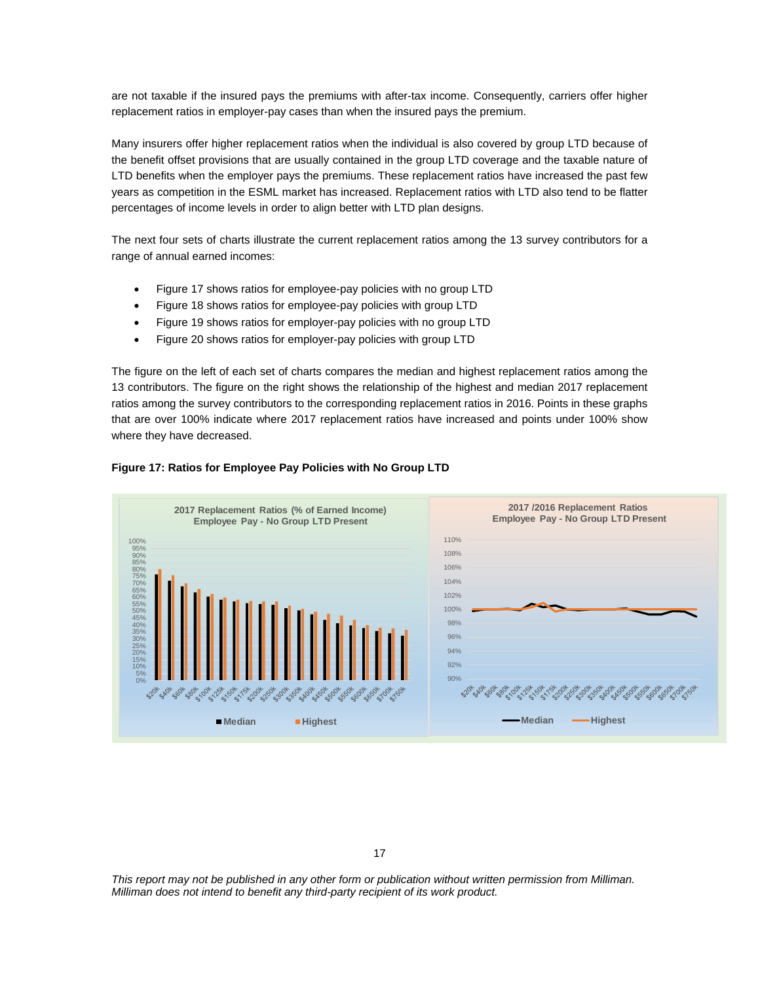are not taxable if the insured pays the premiums with after-tax income. Consequently, carriers offer higher replacement ratios in employer-pay cases than when the insured pays the premium.

Many insurers offer higher replacement ratios when the individual is also covered by group LTD because of the benefit offset provisions that are usually contained in the group LTD coverage and the taxable nature of LTD benefits when the employer pays the premiums. These replacement ratios have increased the past few years as competition in the ESML market has increased. Replacement ratios with LTD also tend to be flatter percentages of income levels in order to align better with LTD plan designs.

The next four sets of charts illustrate the current replacement ratios among the 13 survey contributors for a range of annual earned incomes:

- Figure 17 shows ratios for employee-pay policies with no group LTD
- Figure 18 shows ratios for employee-pay policies with group LTD
- Figure 19 shows ratios for employer-pay policies with no group LTD
- Figure 20 shows ratios for employer-pay policies with group LTD

The figure on the left of each set of charts compares the median and highest replacement ratios among the 13 contributors. The figure on the right shows the relationship of the highest and median 2017 replacement ratios among the survey contributors to the corresponding replacement ratios in 2016. Points in these graphs that are over 100% indicate where 2017 replacement ratios have increased and points under 100% show where they have decreased.



## **Figure 17: Ratios for Employee Pay Policies with No Group LTD**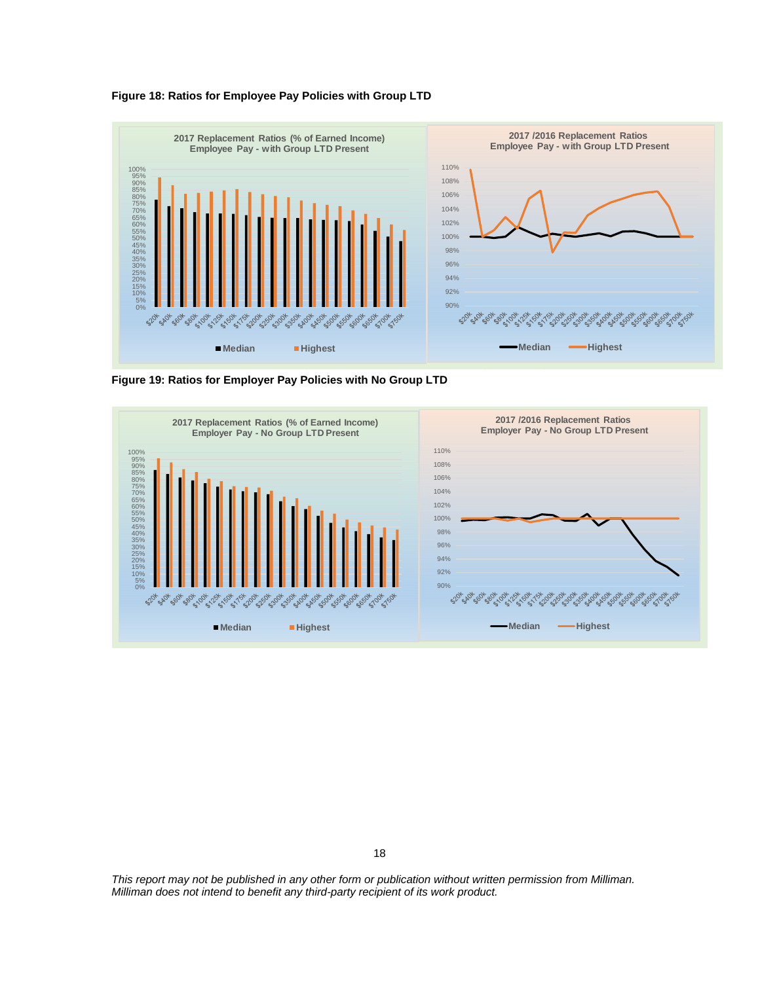



**Figure 19: Ratios for Employer Pay Policies with No Group LTD** 



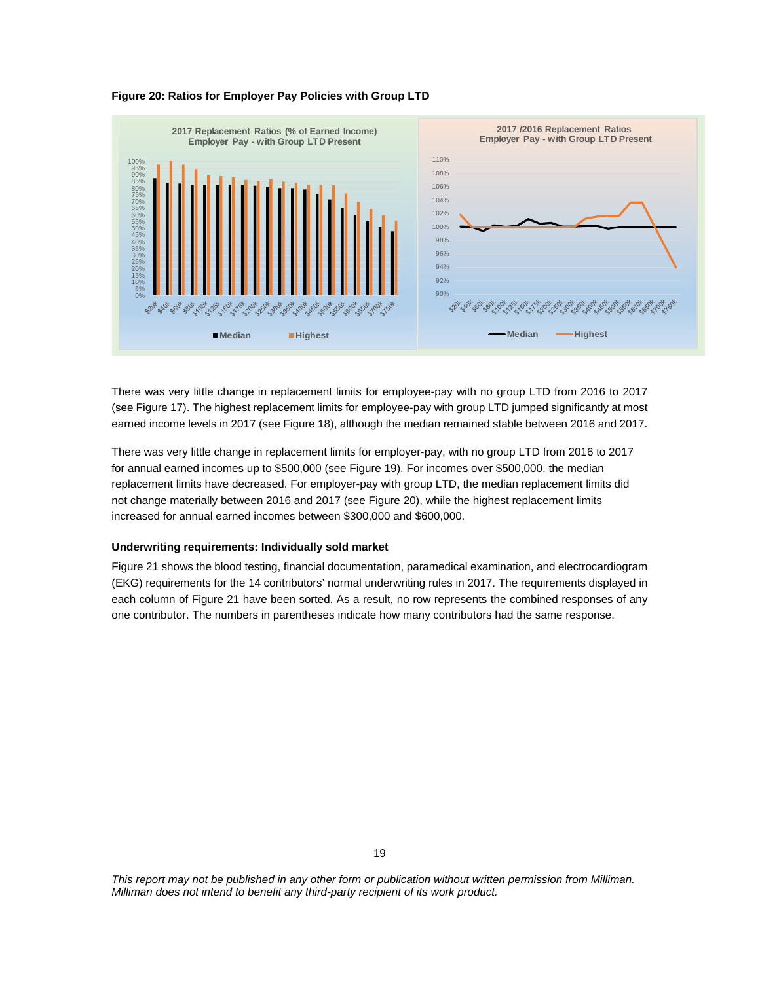



There was very little change in replacement limits for employee-pay with no group LTD from 2016 to 2017 (see Figure 17). The highest replacement limits for employee-pay with group LTD jumped significantly at most earned income levels in 2017 (see Figure 18), although the median remained stable between 2016 and 2017.

There was very little change in replacement limits for employer-pay, with no group LTD from 2016 to 2017 for annual earned incomes up to \$500,000 (see Figure 19). For incomes over \$500,000, the median replacement limits have decreased. For employer-pay with group LTD, the median replacement limits did not change materially between 2016 and 2017 (see Figure 20), while the highest replacement limits increased for annual earned incomes between \$300,000 and \$600,000.

#### **Underwriting requirements: Individually sold market**

Figure 21 shows the blood testing, financial documentation, paramedical examination, and electrocardiogram (EKG) requirements for the 14 contributors' normal underwriting rules in 2017. The requirements displayed in each column of Figure 21 have been sorted. As a result, no row represents the combined responses of any one contributor. The numbers in parentheses indicate how many contributors had the same response.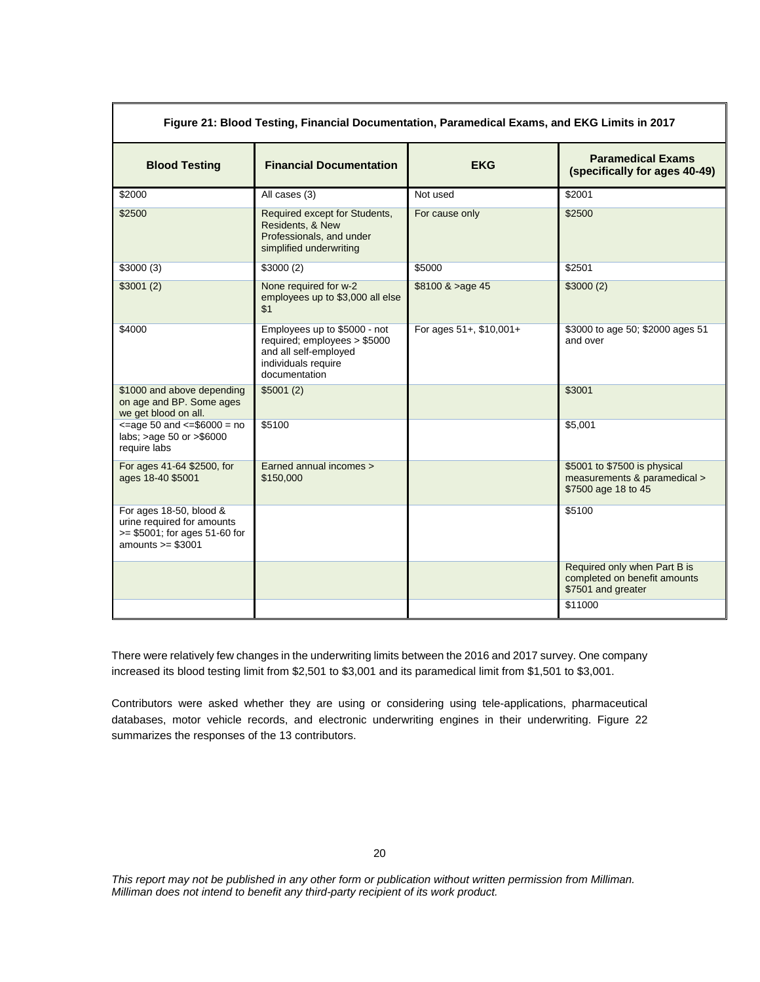| Figure 21: Blood Testing, Financial Documentation, Paramedical Exams, and EKG Limits in 2017                   |                                                                                                                               |                         |                                                                                     |  |  |  |  |
|----------------------------------------------------------------------------------------------------------------|-------------------------------------------------------------------------------------------------------------------------------|-------------------------|-------------------------------------------------------------------------------------|--|--|--|--|
| <b>Blood Testing</b>                                                                                           | <b>Financial Documentation</b>                                                                                                |                         | <b>Paramedical Exams</b><br>(specifically for ages 40-49)                           |  |  |  |  |
| \$2000                                                                                                         | All cases (3)                                                                                                                 | Not used                | \$2001                                                                              |  |  |  |  |
| \$2500                                                                                                         | Required except for Students,<br>Residents, & New<br>Professionals, and under<br>simplified underwriting                      | For cause only          | \$2500                                                                              |  |  |  |  |
| \$3000(3)                                                                                                      | \$3000(2)                                                                                                                     | \$5000                  | \$2501                                                                              |  |  |  |  |
| \$3001(2)                                                                                                      | None required for w-2<br>employees up to \$3,000 all else<br>\$1                                                              | $$8100 \& >age 45$      | \$3000(2)                                                                           |  |  |  |  |
| \$4000                                                                                                         | Employees up to \$5000 - not<br>required; employees > \$5000<br>and all self-employed<br>individuals require<br>documentation | For ages 51+, \$10,001+ | \$3000 to age 50; \$2000 ages 51<br>and over                                        |  |  |  |  |
| \$1000 and above depending<br>on age and BP. Some ages<br>we get blood on all.                                 | \$5001(2)                                                                                                                     |                         | \$3001                                                                              |  |  |  |  |
| $\epsilon$ =age 50 and $\epsilon$ =\$6000 = no<br>labs; >age 50 or >\$6000<br>require labs                     | \$5100                                                                                                                        |                         | \$5,001                                                                             |  |  |  |  |
| For ages 41-64 \$2500, for<br>ages 18-40 \$5001                                                                | Earned annual incomes ><br>\$150,000                                                                                          |                         | \$5001 to \$7500 is physical<br>measurements & paramedical ><br>\$7500 age 18 to 45 |  |  |  |  |
| For ages 18-50, blood &<br>urine required for amounts<br>$>= $5001$ ; for ages 51-60 for<br>amounts $>= $3001$ |                                                                                                                               |                         | \$5100                                                                              |  |  |  |  |
|                                                                                                                |                                                                                                                               |                         | Required only when Part B is<br>completed on benefit amounts<br>\$7501 and greater  |  |  |  |  |
|                                                                                                                |                                                                                                                               |                         | \$11000                                                                             |  |  |  |  |

There were relatively few changes in the underwriting limits between the 2016 and 2017 survey. One company increased its blood testing limit from \$2,501 to \$3,001 and its paramedical limit from \$1,501 to \$3,001.

Contributors were asked whether they are using or considering using tele-applications, pharmaceutical databases, motor vehicle records, and electronic underwriting engines in their underwriting. Figure 22 summarizes the responses of the 13 contributors.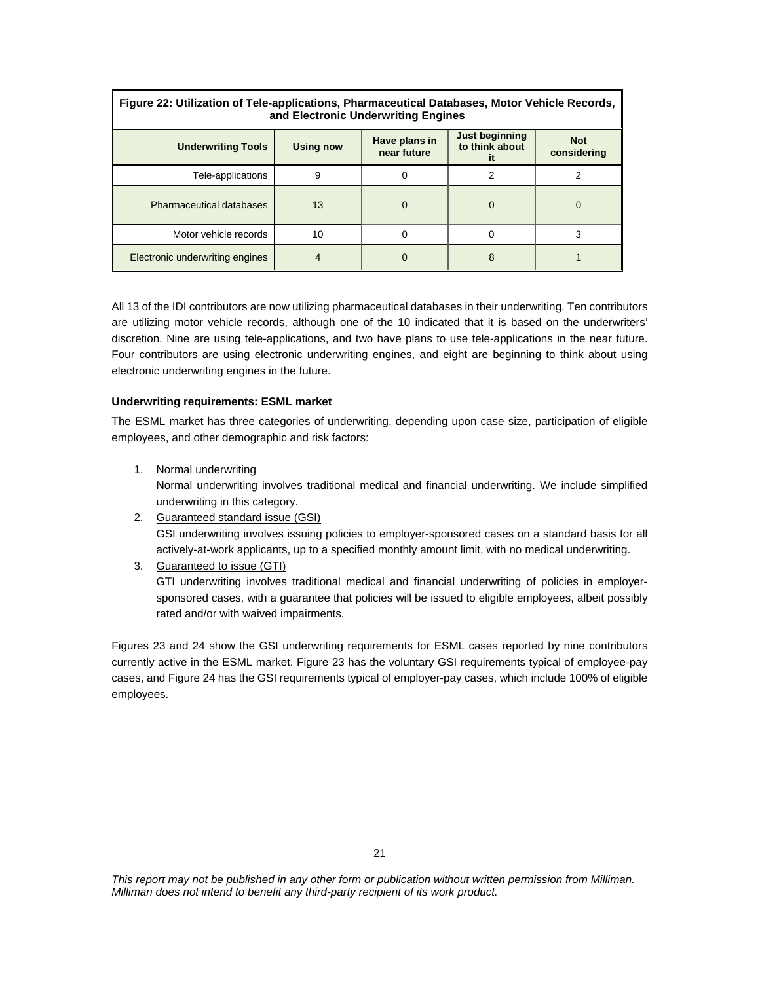| Figure 22: Utilization of Tele-applications, Pharmaceutical Databases, Motor Vehicle Records,<br>and Electronic Underwriting Engines |                  |                              |                                         |                           |
|--------------------------------------------------------------------------------------------------------------------------------------|------------------|------------------------------|-----------------------------------------|---------------------------|
| <b>Underwriting Tools</b>                                                                                                            | <b>Using now</b> | Have plans in<br>near future | <b>Just beginning</b><br>to think about | <b>Not</b><br>considering |
| Tele-applications                                                                                                                    | 9                |                              | 2                                       |                           |
| <b>Pharmaceutical databases</b>                                                                                                      | 13               | $\Omega$                     | 0                                       |                           |
| Motor vehicle records                                                                                                                | 10               | 0                            | 0                                       | 3                         |
| Electronic underwriting engines                                                                                                      |                  |                              | 8                                       |                           |

All 13 of the IDI contributors are now utilizing pharmaceutical databases in their underwriting. Ten contributors are utilizing motor vehicle records, although one of the 10 indicated that it is based on the underwriters' discretion. Nine are using tele-applications, and two have plans to use tele-applications in the near future. Four contributors are using electronic underwriting engines, and eight are beginning to think about using electronic underwriting engines in the future.

#### **Underwriting requirements: ESML market**

The ESML market has three categories of underwriting, depending upon case size, participation of eligible employees, and other demographic and risk factors:

- 1. Normal underwriting Normal underwriting involves traditional medical and financial underwriting. We include simplified underwriting in this category.
- 2. Guaranteed standard issue (GSI) GSI underwriting involves issuing policies to employer-sponsored cases on a standard basis for all actively-at-work applicants, up to a specified monthly amount limit, with no medical underwriting.
- 3. Guaranteed to issue (GTI) GTI underwriting involves traditional medical and financial underwriting of policies in employersponsored cases, with a guarantee that policies will be issued to eligible employees, albeit possibly rated and/or with waived impairments.

Figures 23 and 24 show the GSI underwriting requirements for ESML cases reported by nine contributors currently active in the ESML market. Figure 23 has the voluntary GSI requirements typical of employee-pay cases, and Figure 24 has the GSI requirements typical of employer-pay cases, which include 100% of eligible employees.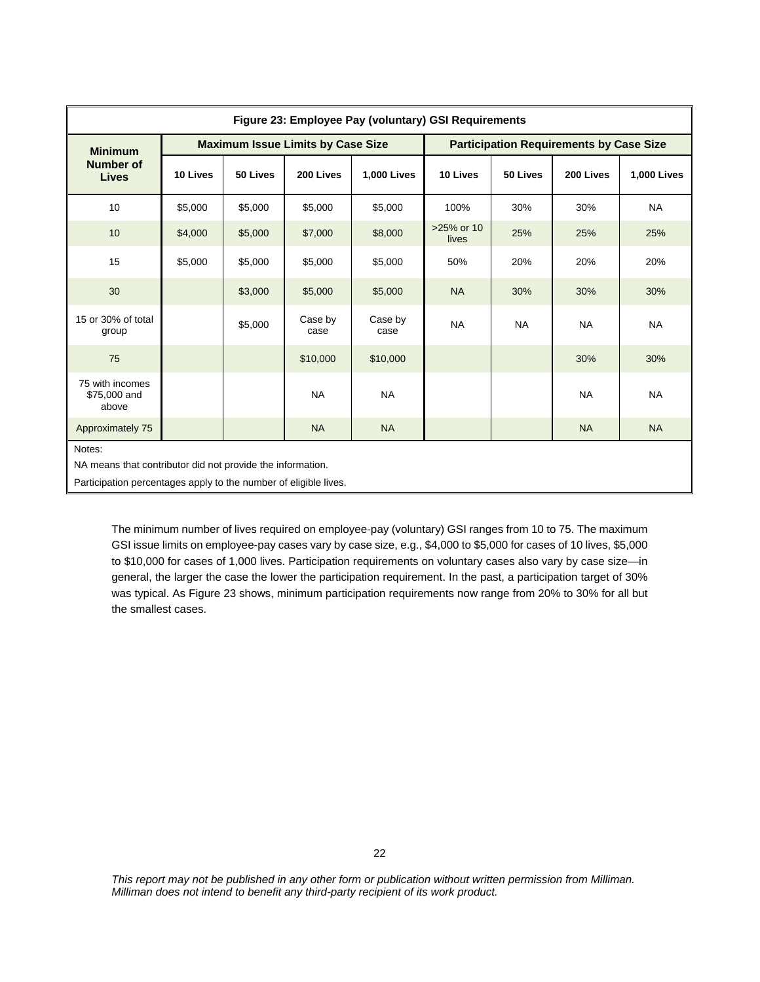| Figure 23: Employee Pay (voluntary) GSI Requirements                                                                                     |          |          |                                          |                    |                                                |           |           |                    |
|------------------------------------------------------------------------------------------------------------------------------------------|----------|----------|------------------------------------------|--------------------|------------------------------------------------|-----------|-----------|--------------------|
| <b>Minimum</b>                                                                                                                           |          |          | <b>Maximum Issue Limits by Case Size</b> |                    | <b>Participation Requirements by Case Size</b> |           |           |                    |
| Number of<br><b>Lives</b>                                                                                                                | 10 Lives | 50 Lives | 200 Lives                                | <b>1,000 Lives</b> | 10 Lives                                       | 50 Lives  | 200 Lives | <b>1,000 Lives</b> |
| 10                                                                                                                                       | \$5,000  | \$5,000  | \$5,000                                  | \$5,000            | 100%                                           | 30%       | 30%       | <b>NA</b>          |
| 10                                                                                                                                       | \$4,000  | \$5,000  | \$7,000                                  | \$8,000            | >25% or 10<br>lives                            | 25%       | 25%       | 25%                |
| 15                                                                                                                                       | \$5,000  | \$5,000  | \$5,000                                  | \$5,000            | 50%                                            | 20%       | 20%       | 20%                |
| 30                                                                                                                                       |          | \$3,000  | \$5,000                                  | \$5,000            | <b>NA</b>                                      | 30%       | 30%       | 30%                |
| 15 or 30% of total<br>group                                                                                                              |          | \$5,000  | Case by<br>case                          | Case by<br>case    | <b>NA</b>                                      | <b>NA</b> | <b>NA</b> | <b>NA</b>          |
| 75                                                                                                                                       |          |          | \$10,000                                 | \$10,000           |                                                |           | 30%       | 30%                |
| 75 with incomes<br>\$75,000 and<br>above                                                                                                 |          |          | <b>NA</b>                                | <b>NA</b>          |                                                |           | <b>NA</b> | <b>NA</b>          |
| Approximately 75                                                                                                                         |          |          | <b>NA</b>                                | <b>NA</b>          |                                                |           | <b>NA</b> | <b>NA</b>          |
| Notes:<br>NA means that contributor did not provide the information.<br>Participation percentages apply to the number of eligible lives. |          |          |                                          |                    |                                                |           |           |                    |

The minimum number of lives required on employee-pay (voluntary) GSI ranges from 10 to 75. The maximum GSI issue limits on employee-pay cases vary by case size, e.g., \$4,000 to \$5,000 for cases of 10 lives, \$5,000 to \$10,000 for cases of 1,000 lives. Participation requirements on voluntary cases also vary by case size—in general, the larger the case the lower the participation requirement. In the past, a participation target of 30% was typical. As Figure 23 shows, minimum participation requirements now range from 20% to 30% for all but the smallest cases.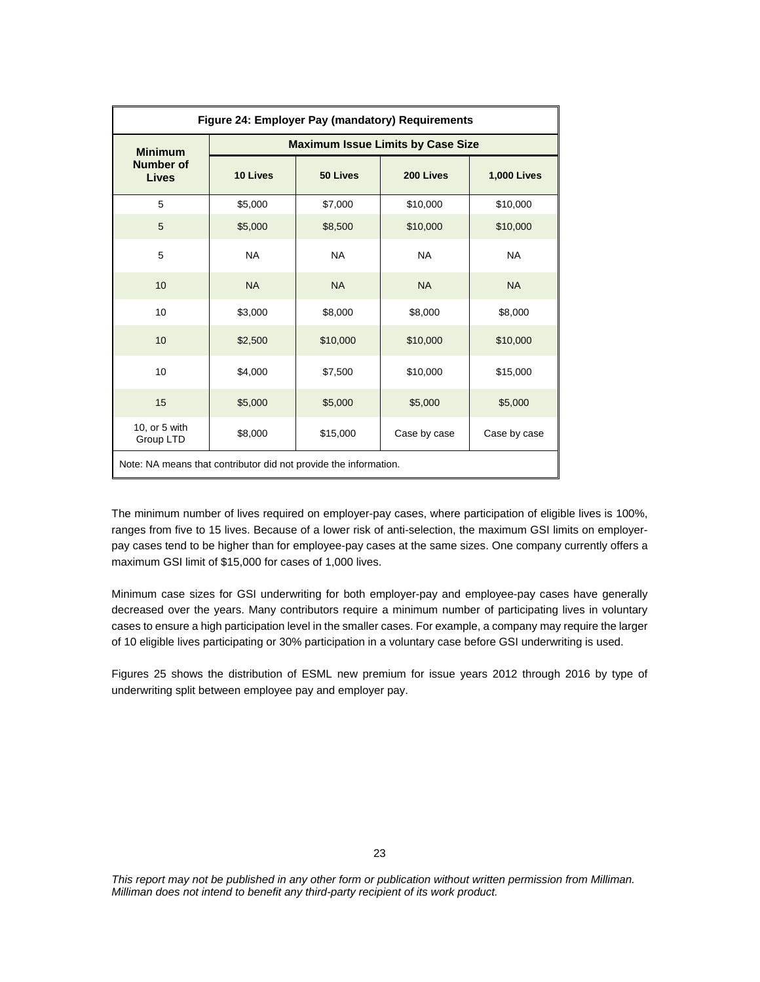| Figure 24: Employer Pay (mandatory) Requirements                 |           |           |                                          |                    |
|------------------------------------------------------------------|-----------|-----------|------------------------------------------|--------------------|
| <b>Minimum</b>                                                   |           |           | <b>Maximum Issue Limits by Case Size</b> |                    |
| <b>Number of</b><br><b>Lives</b>                                 | 10 Lives  | 50 Lives  | 200 Lives                                | <b>1,000 Lives</b> |
| 5                                                                | \$5,000   | \$7,000   | \$10,000                                 | \$10,000           |
| 5                                                                | \$5,000   | \$8,500   | \$10,000                                 | \$10,000           |
| 5                                                                | <b>NA</b> | <b>NA</b> | <b>NA</b>                                | <b>NA</b>          |
| 10                                                               | <b>NA</b> | <b>NA</b> | <b>NA</b>                                | <b>NA</b>          |
| 10                                                               | \$3,000   | \$8,000   | \$8,000                                  | \$8,000            |
| 10                                                               | \$2,500   | \$10,000  | \$10,000                                 | \$10,000           |
| 10                                                               | \$4,000   | \$7,500   | \$10,000                                 | \$15,000           |
| 15                                                               | \$5,000   | \$5,000   | \$5,000                                  | \$5,000            |
| 10, or 5 with<br>Group LTD                                       | \$8,000   | \$15,000  | Case by case                             | Case by case       |
| Note: NA means that contributor did not provide the information. |           |           |                                          |                    |

The minimum number of lives required on employer-pay cases, where participation of eligible lives is 100%, ranges from five to 15 lives. Because of a lower risk of anti-selection, the maximum GSI limits on employerpay cases tend to be higher than for employee-pay cases at the same sizes. One company currently offers a maximum GSI limit of \$15,000 for cases of 1,000 lives.

Minimum case sizes for GSI underwriting for both employer-pay and employee-pay cases have generally decreased over the years. Many contributors require a minimum number of participating lives in voluntary cases to ensure a high participation level in the smaller cases. For example, a company may require the larger of 10 eligible lives participating or 30% participation in a voluntary case before GSI underwriting is used.

Figures 25 shows the distribution of ESML new premium for issue years 2012 through 2016 by type of underwriting split between employee pay and employer pay.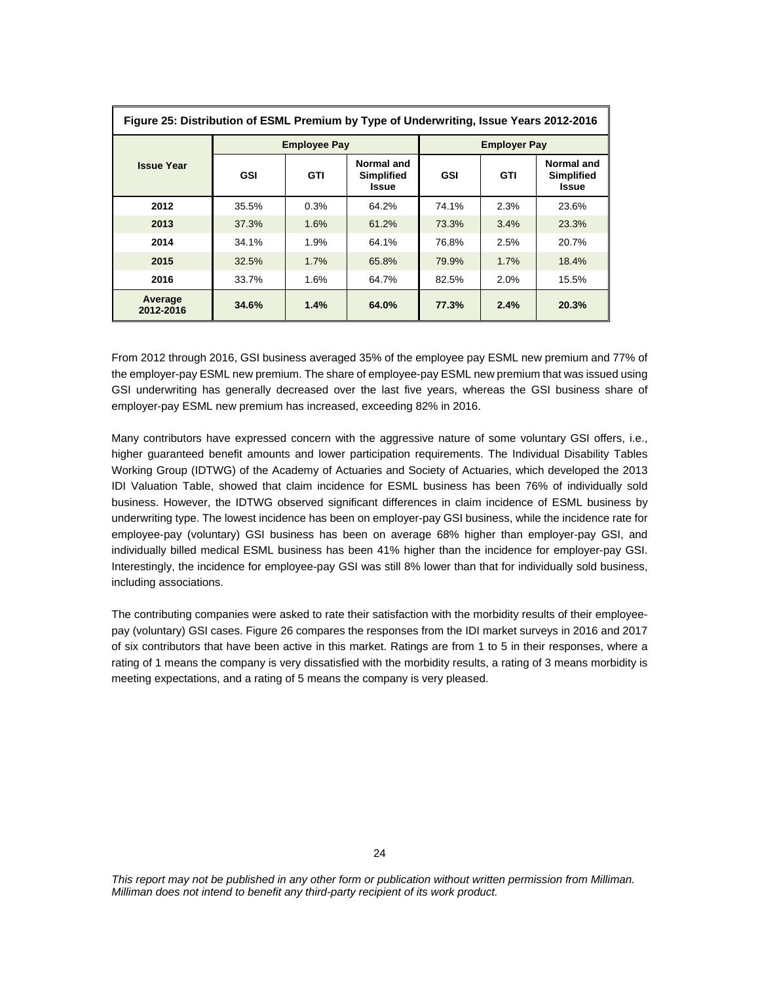| Figure 25: Distribution of ESML Premium by Type of Underwriting, Issue Years 2012-2016 |            |                     |                                                 |                     |            |                                                 |
|----------------------------------------------------------------------------------------|------------|---------------------|-------------------------------------------------|---------------------|------------|-------------------------------------------------|
|                                                                                        |            | <b>Employee Pay</b> |                                                 | <b>Employer Pay</b> |            |                                                 |
| <b>Issue Year</b>                                                                      | <b>GSI</b> | <b>GTI</b>          | Normal and<br><b>Simplified</b><br><b>Issue</b> | <b>GSI</b>          | <b>GTI</b> | Normal and<br><b>Simplified</b><br><b>Issue</b> |
| 2012                                                                                   | 35.5%      | 0.3%                | 64.2%                                           | 74.1%               | 2.3%       | 23.6%                                           |
| 2013                                                                                   | 37.3%      | 1.6%                | 61.2%                                           | 73.3%               | 3.4%       | 23.3%                                           |
| 2014                                                                                   | 34.1%      | 1.9%                | 64.1%                                           | 76.8%               | 2.5%       | 20.7%                                           |
| 2015                                                                                   | 32.5%      | 1.7%                | 65.8%                                           | 79.9%               | 1.7%       | 18.4%                                           |
| 2016                                                                                   | 33.7%      | 1.6%                | 64.7%                                           | 82.5%               | 2.0%       | 15.5%                                           |
| Average<br>2012-2016                                                                   | 34.6%      | 1.4%                | 64.0%                                           | 77.3%               | 2.4%       | 20.3%                                           |

From 2012 through 2016, GSI business averaged 35% of the employee pay ESML new premium and 77% of the employer-pay ESML new premium. The share of employee-pay ESML new premium that was issued using GSI underwriting has generally decreased over the last five years, whereas the GSI business share of employer-pay ESML new premium has increased, exceeding 82% in 2016.

Many contributors have expressed concern with the aggressive nature of some voluntary GSI offers, i.e., higher guaranteed benefit amounts and lower participation requirements. The Individual Disability Tables Working Group (IDTWG) of the Academy of Actuaries and Society of Actuaries, which developed the 2013 IDI Valuation Table, showed that claim incidence for ESML business has been 76% of individually sold business. However, the IDTWG observed significant differences in claim incidence of ESML business by underwriting type. The lowest incidence has been on employer-pay GSI business, while the incidence rate for employee-pay (voluntary) GSI business has been on average 68% higher than employer-pay GSI, and individually billed medical ESML business has been 41% higher than the incidence for employer-pay GSI. Interestingly, the incidence for employee-pay GSI was still 8% lower than that for individually sold business, including associations.

The contributing companies were asked to rate their satisfaction with the morbidity results of their employeepay (voluntary) GSI cases. Figure 26 compares the responses from the IDI market surveys in 2016 and 2017 of six contributors that have been active in this market. Ratings are from 1 to 5 in their responses, where a rating of 1 means the company is very dissatisfied with the morbidity results, a rating of 3 means morbidity is meeting expectations, and a rating of 5 means the company is very pleased.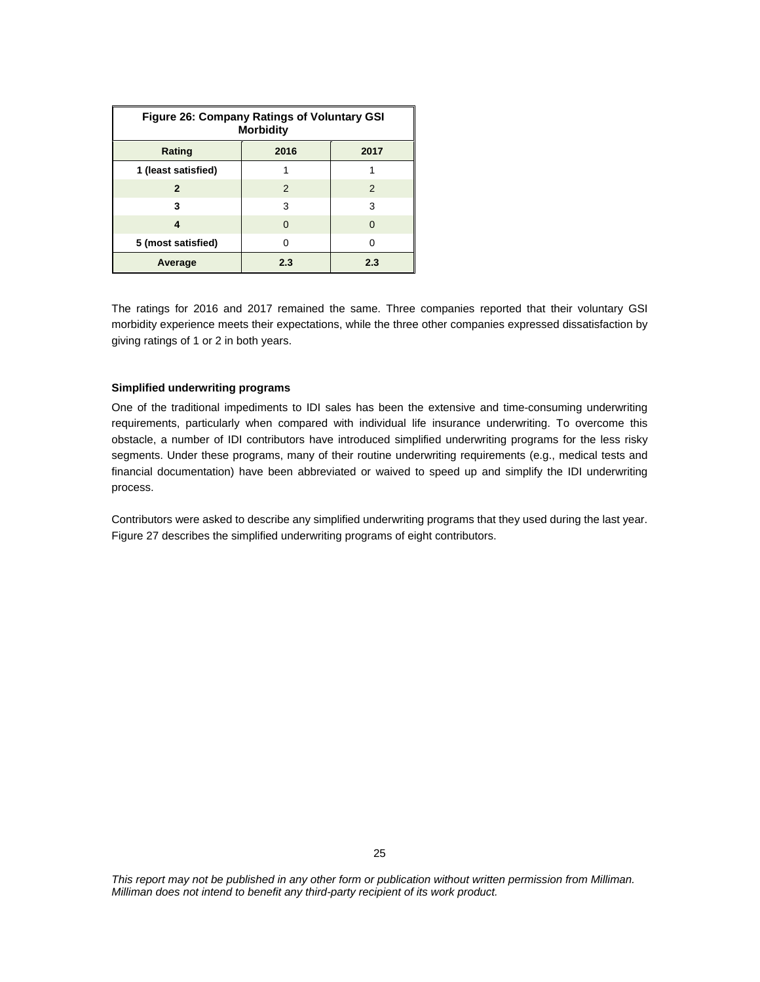| <b>Figure 26: Company Ratings of Voluntary GSI</b><br><b>Morbidity</b> |              |          |  |  |
|------------------------------------------------------------------------|--------------|----------|--|--|
| Rating                                                                 | 2016<br>2017 |          |  |  |
| 1 (least satisfied)                                                    |              |          |  |  |
| $\mathbf{2}$                                                           | 2            | 2        |  |  |
| 3                                                                      | 3            | 3        |  |  |
| 4                                                                      | O            | $\Omega$ |  |  |
| 5 (most satisfied)                                                     | O            | O        |  |  |
| Average                                                                | 2.3          | 2.3      |  |  |

The ratings for 2016 and 2017 remained the same. Three companies reported that their voluntary GSI morbidity experience meets their expectations, while the three other companies expressed dissatisfaction by giving ratings of 1 or 2 in both years.

## **Simplified underwriting programs**

One of the traditional impediments to IDI sales has been the extensive and time-consuming underwriting requirements, particularly when compared with individual life insurance underwriting. To overcome this obstacle, a number of IDI contributors have introduced simplified underwriting programs for the less risky segments. Under these programs, many of their routine underwriting requirements (e.g., medical tests and financial documentation) have been abbreviated or waived to speed up and simplify the IDI underwriting process.

Contributors were asked to describe any simplified underwriting programs that they used during the last year. Figure 27 describes the simplified underwriting programs of eight contributors.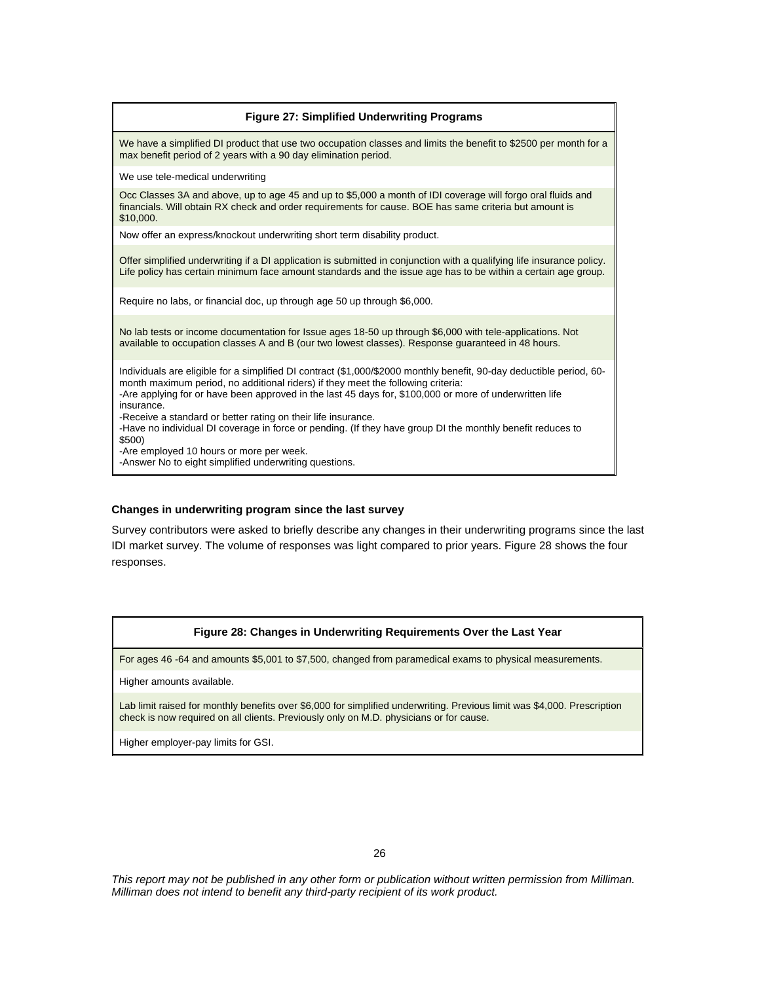| <b>Figure 27: Simplified Underwriting Programs</b>                                                                                                                                                                                                                                                                                                                                                                                                                                                                                                                                                                               |
|----------------------------------------------------------------------------------------------------------------------------------------------------------------------------------------------------------------------------------------------------------------------------------------------------------------------------------------------------------------------------------------------------------------------------------------------------------------------------------------------------------------------------------------------------------------------------------------------------------------------------------|
| We have a simplified DI product that use two occupation classes and limits the benefit to \$2500 per month for a<br>max benefit period of 2 years with a 90 day elimination period.                                                                                                                                                                                                                                                                                                                                                                                                                                              |
| We use tele-medical underwriting                                                                                                                                                                                                                                                                                                                                                                                                                                                                                                                                                                                                 |
| Occ Classes 3A and above, up to age 45 and up to \$5,000 a month of IDI coverage will forgo oral fluids and<br>financials. Will obtain RX check and order requirements for cause. BOE has same criteria but amount is<br>\$10,000.                                                                                                                                                                                                                                                                                                                                                                                               |
| Now offer an express/knockout underwriting short term disability product.                                                                                                                                                                                                                                                                                                                                                                                                                                                                                                                                                        |
| Offer simplified underwriting if a DI application is submitted in conjunction with a qualifying life insurance policy.<br>Life policy has certain minimum face amount standards and the issue age has to be within a certain age group.                                                                                                                                                                                                                                                                                                                                                                                          |
| Require no labs, or financial doc, up through age 50 up through \$6,000.                                                                                                                                                                                                                                                                                                                                                                                                                                                                                                                                                         |
| No lab tests or income documentation for Issue ages 18-50 up through \$6,000 with tele-applications. Not<br>available to occupation classes A and B (our two lowest classes). Response guaranteed in 48 hours.                                                                                                                                                                                                                                                                                                                                                                                                                   |
| Individuals are eligible for a simplified DI contract (\$1,000/\$2000 monthly benefit, 90-day deductible period, 60-<br>month maximum period, no additional riders) if they meet the following criteria:<br>-Are applying for or have been approved in the last 45 days for, \$100,000 or more of underwritten life<br>insurance.<br>-Receive a standard or better rating on their life insurance.<br>-Have no individual DI coverage in force or pending. (If they have group DI the monthly benefit reduces to<br>\$500)<br>-Are employed 10 hours or more per week.<br>-Answer No to eight simplified underwriting questions. |

#### **Changes in underwriting program since the last survey**

Survey contributors were asked to briefly describe any changes in their underwriting programs since the last IDI market survey. The volume of responses was light compared to prior years. Figure 28 shows the four responses.

#### **Figure 28: Changes in Underwriting Requirements Over the Last Year**

For ages 46 -64 and amounts \$5,001 to \$7,500, changed from paramedical exams to physical measurements.

Higher amounts available.

Lab limit raised for monthly benefits over \$6,000 for simplified underwriting. Previous limit was \$4,000. Prescription check is now required on all clients. Previously only on M.D. physicians or for cause.

Higher employer-pay limits for GSI.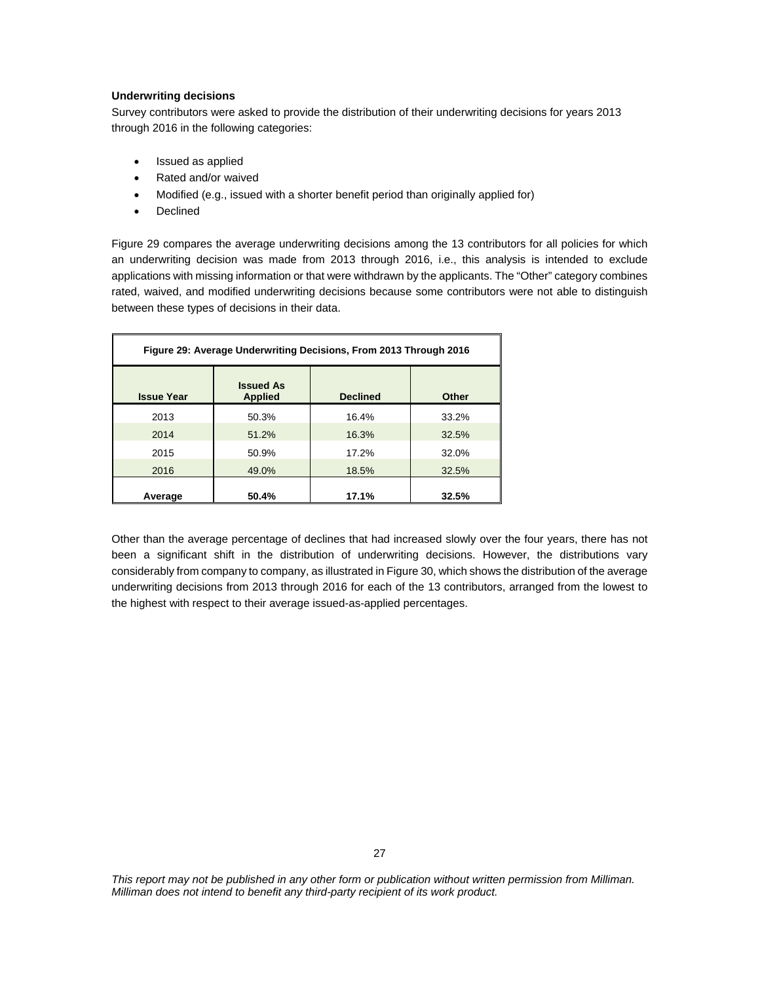## **Underwriting decisions**

Survey contributors were asked to provide the distribution of their underwriting decisions for years 2013 through 2016 in the following categories:

- Issued as applied
- Rated and/or waived
- Modified (e.g., issued with a shorter benefit period than originally applied for)
- Declined

Figure 29 compares the average underwriting decisions among the 13 contributors for all policies for which an underwriting decision was made from 2013 through 2016, i.e., this analysis is intended to exclude applications with missing information or that were withdrawn by the applicants. The "Other" category combines rated, waived, and modified underwriting decisions because some contributors were not able to distinguish between these types of decisions in their data.

| Figure 29: Average Underwriting Decisions, From 2013 Through 2016 |                                    |                 |       |
|-------------------------------------------------------------------|------------------------------------|-----------------|-------|
| <b>Issue Year</b>                                                 | <b>Issued As</b><br><b>Applied</b> | <b>Declined</b> | Other |
| 2013                                                              | 50.3%                              | 16.4%           | 33.2% |
| 2014                                                              | 51.2%                              | 16.3%           | 32.5% |
| 2015                                                              | 50.9%                              | 17.2%           | 32.0% |
| 2016                                                              | 49.0%                              | 18.5%           | 32.5% |
| Average                                                           | 50.4%                              | 17.1%           | 32.5% |

Other than the average percentage of declines that had increased slowly over the four years, there has not been a significant shift in the distribution of underwriting decisions. However, the distributions vary considerably from company to company, as illustrated in Figure 30, which shows the distribution of the average underwriting decisions from 2013 through 2016 for each of the 13 contributors, arranged from the lowest to the highest with respect to their average issued-as-applied percentages.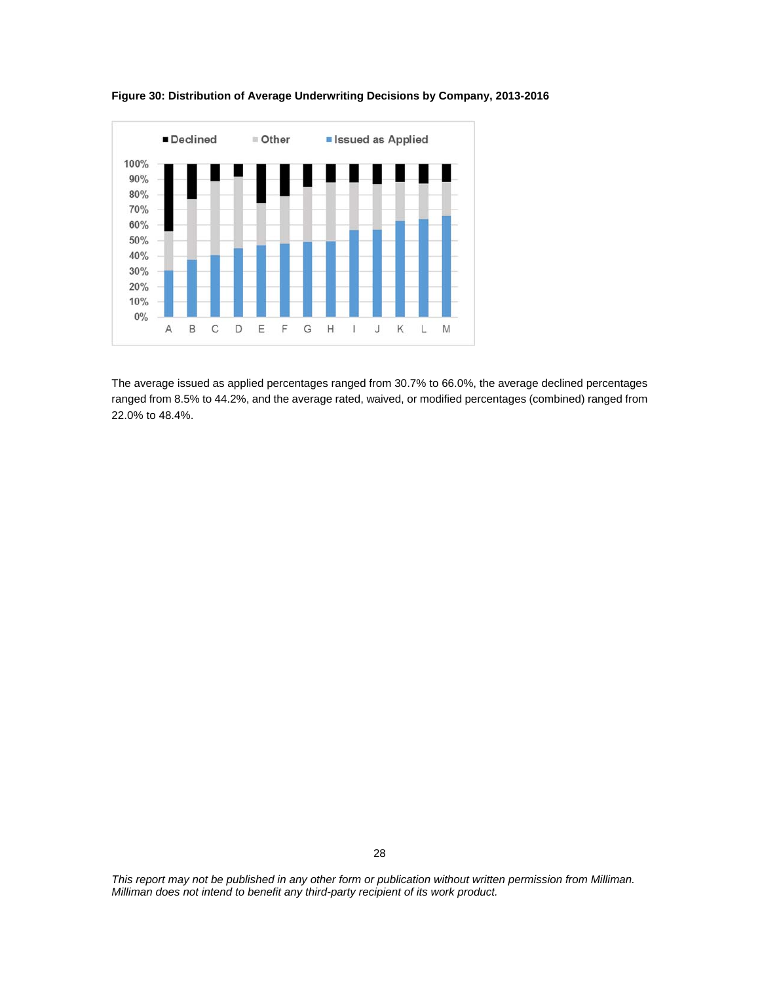

**Figure 30: Distribution of Average Underwriting Decisions by Company, 2013-2016** 

The average issued as applied percentages ranged from 30.7% to 66.0%, the average declined percentages ranged from 8.5% to 44.2%, and the average rated, waived, or modified percentages (combined) ranged from 22.0% to 48.4%.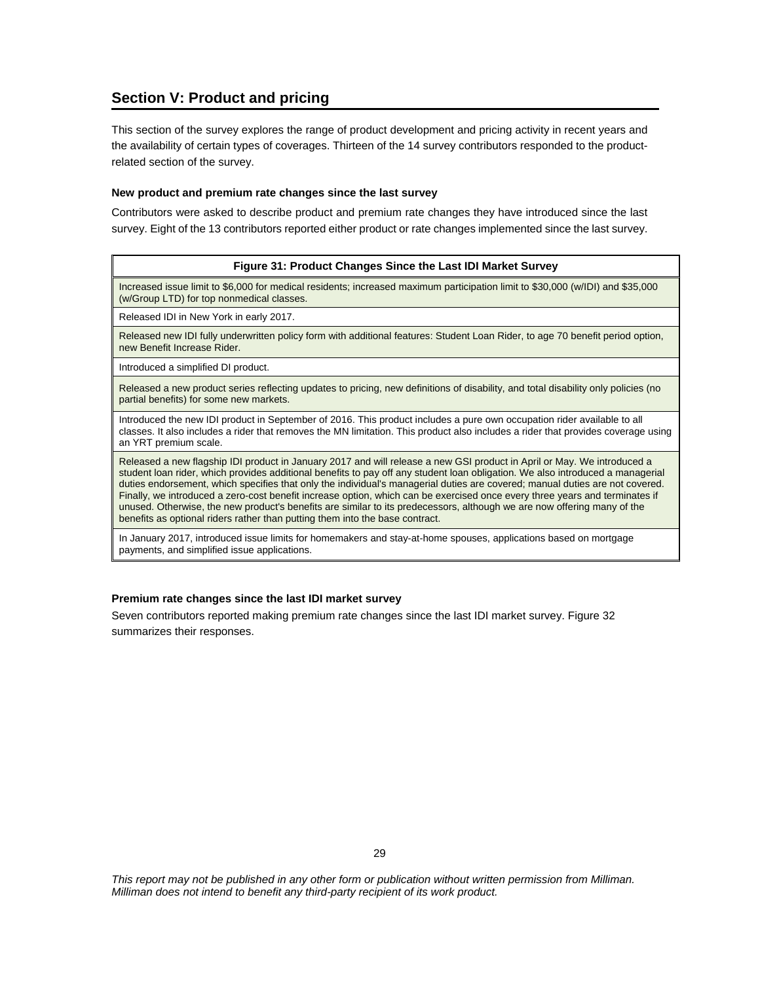## **Section V: Product and pricing**

This section of the survey explores the range of product development and pricing activity in recent years and the availability of certain types of coverages. Thirteen of the 14 survey contributors responded to the productrelated section of the survey.

#### **New product and premium rate changes since the last survey**

Contributors were asked to describe product and premium rate changes they have introduced since the last survey. Eight of the 13 contributors reported either product or rate changes implemented since the last survey.

#### **Figure 31: Product Changes Since the Last IDI Market Survey**

Increased issue limit to \$6,000 for medical residents; increased maximum participation limit to \$30,000 (w/IDI) and \$35,000 (w/Group LTD) for top nonmedical classes.

Released IDI in New York in early 2017.

Released new IDI fully underwritten policy form with additional features: Student Loan Rider, to age 70 benefit period option, new Benefit Increase Rider.

Introduced a simplified DI product.

Released a new product series reflecting updates to pricing, new definitions of disability, and total disability only policies (no partial benefits) for some new markets.

Introduced the new IDI product in September of 2016. This product includes a pure own occupation rider available to all classes. It also includes a rider that removes the MN limitation. This product also includes a rider that provides coverage using an YRT premium scale.

Released a new flagship IDI product in January 2017 and will release a new GSI product in April or May. We introduced a student loan rider, which provides additional benefits to pay off any student loan obligation. We also introduced a managerial duties endorsement, which specifies that only the individual's managerial duties are covered; manual duties are not covered. Finally, we introduced a zero-cost benefit increase option, which can be exercised once every three years and terminates if unused. Otherwise, the new product's benefits are similar to its predecessors, although we are now offering many of the benefits as optional riders rather than putting them into the base contract.

In January 2017, introduced issue limits for homemakers and stay-at-home spouses, applications based on mortgage payments, and simplified issue applications.

#### **Premium rate changes since the last IDI market survey**

Seven contributors reported making premium rate changes since the last IDI market survey. Figure 32 summarizes their responses.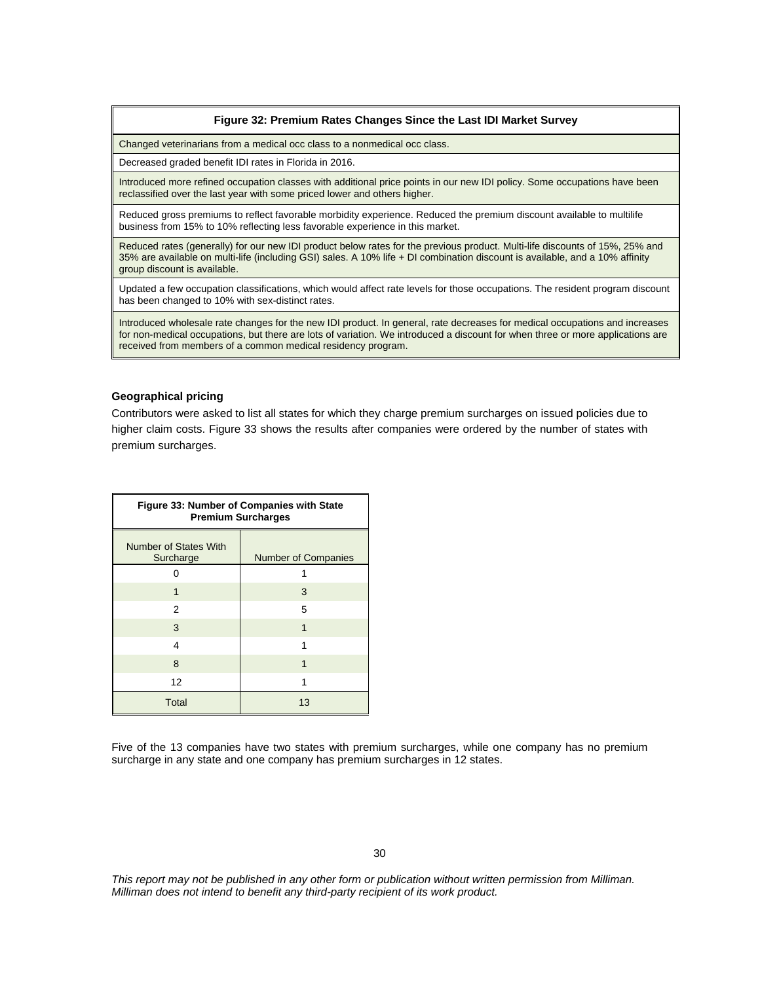#### **Figure 32: Premium Rates Changes Since the Last IDI Market Survey**

Changed veterinarians from a medical occ class to a nonmedical occ class.

Decreased graded benefit IDI rates in Florida in 2016.

Introduced more refined occupation classes with additional price points in our new IDI policy. Some occupations have been reclassified over the last year with some priced lower and others higher.

Reduced gross premiums to reflect favorable morbidity experience. Reduced the premium discount available to multilife business from 15% to 10% reflecting less favorable experience in this market.

Reduced rates (generally) for our new IDI product below rates for the previous product. Multi-life discounts of 15%, 25% and 35% are available on multi-life (including GSI) sales. A 10% life + DI combination discount is available, and a 10% affinity group discount is available.

Updated a few occupation classifications, which would affect rate levels for those occupations. The resident program discount has been changed to 10% with sex-distinct rates.

Introduced wholesale rate changes for the new IDI product. In general, rate decreases for medical occupations and increases for non-medical occupations, but there are lots of variation. We introduced a discount for when three or more applications are received from members of a common medical residency program.

#### **Geographical pricing**

Contributors were asked to list all states for which they charge premium surcharges on issued policies due to higher claim costs. Figure 33 shows the results after companies were ordered by the number of states with premium surcharges.

| <b>Figure 33: Number of Companies with State</b><br><b>Premium Surcharges</b> |                            |  |
|-------------------------------------------------------------------------------|----------------------------|--|
| Number of States With<br>Surcharge                                            | <b>Number of Companies</b> |  |
|                                                                               |                            |  |
| 1                                                                             | 3                          |  |
| 2                                                                             | 5                          |  |
| 3                                                                             | 1                          |  |
| 4                                                                             |                            |  |
| 8                                                                             | 1                          |  |
| 12                                                                            |                            |  |
| <b>Total</b>                                                                  | 13                         |  |

Five of the 13 companies have two states with premium surcharges, while one company has no premium surcharge in any state and one company has premium surcharges in 12 states.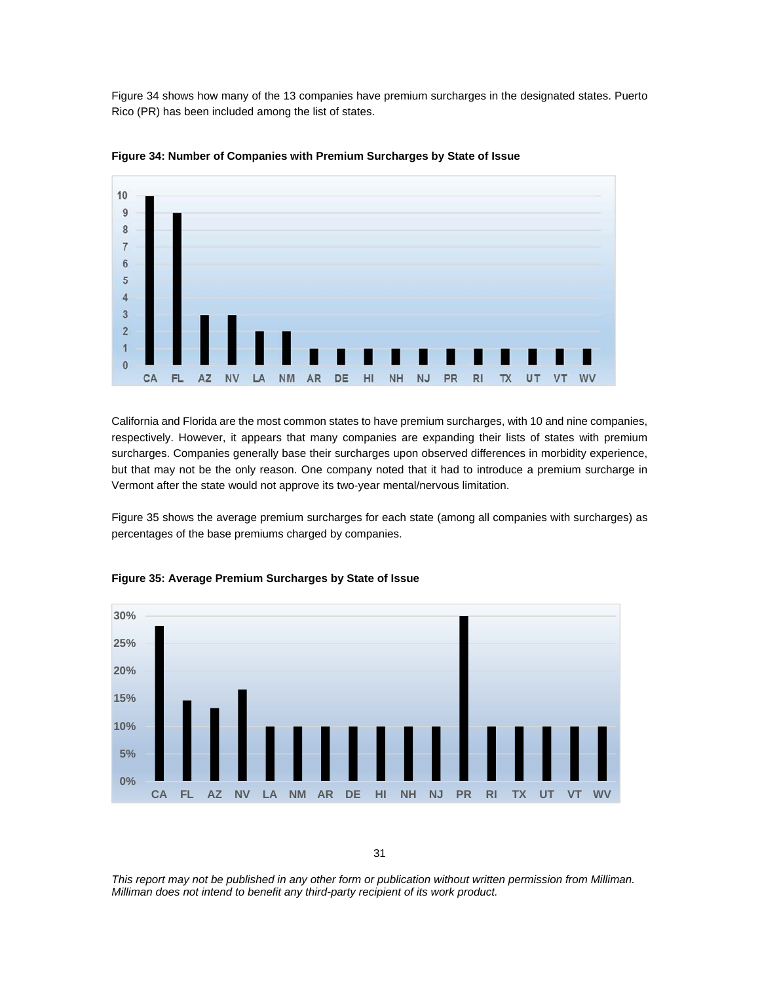Figure 34 shows how many of the 13 companies have premium surcharges in the designated states. Puerto Rico (PR) has been included among the list of states.



**Figure 34: Number of Companies with Premium Surcharges by State of Issue** 

California and Florida are the most common states to have premium surcharges, with 10 and nine companies, respectively. However, it appears that many companies are expanding their lists of states with premium surcharges. Companies generally base their surcharges upon observed differences in morbidity experience, but that may not be the only reason. One company noted that it had to introduce a premium surcharge in Vermont after the state would not approve its two-year mental/nervous limitation.

Figure 35 shows the average premium surcharges for each state (among all companies with surcharges) as percentages of the base premiums charged by companies.



#### **Figure 35: Average Premium Surcharges by State of Issue**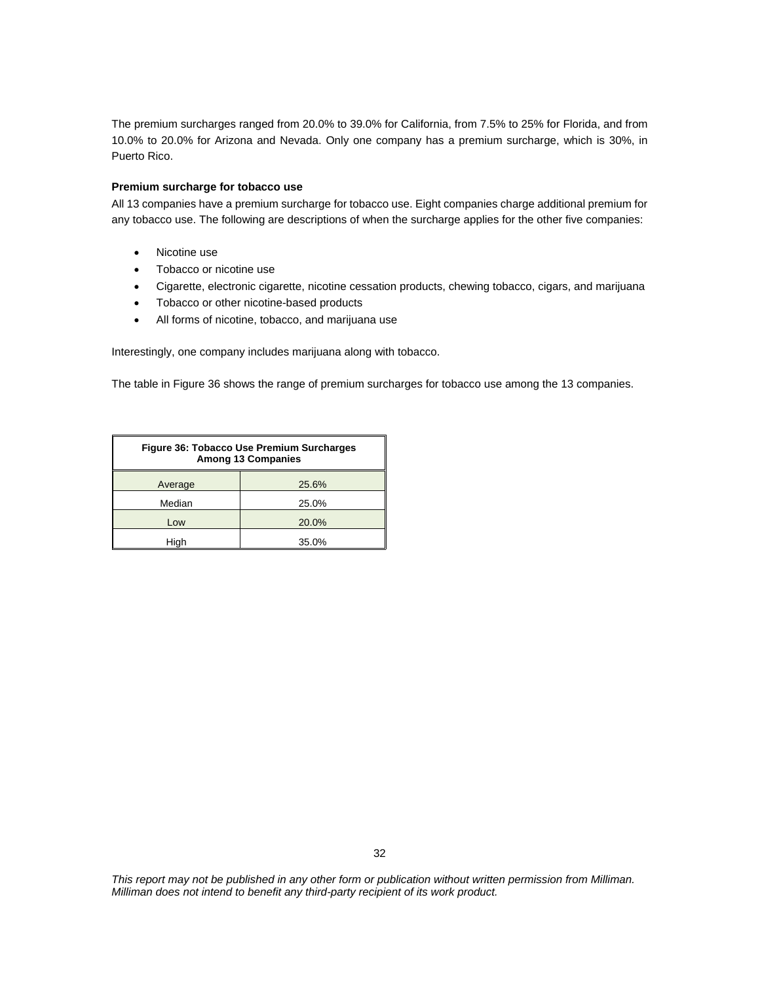The premium surcharges ranged from 20.0% to 39.0% for California, from 7.5% to 25% for Florida, and from 10.0% to 20.0% for Arizona and Nevada. Only one company has a premium surcharge, which is 30%, in Puerto Rico.

#### **Premium surcharge for tobacco use**

All 13 companies have a premium surcharge for tobacco use. Eight companies charge additional premium for any tobacco use. The following are descriptions of when the surcharge applies for the other five companies:

- Nicotine use
- Tobacco or nicotine use
- Cigarette, electronic cigarette, nicotine cessation products, chewing tobacco, cigars, and marijuana
- Tobacco or other nicotine-based products
- All forms of nicotine, tobacco, and marijuana use

Interestingly, one company includes marijuana along with tobacco.

The table in Figure 36 shows the range of premium surcharges for tobacco use among the 13 companies.

| Figure 36: Tobacco Use Premium Surcharges<br><b>Among 13 Companies</b> |       |  |
|------------------------------------------------------------------------|-------|--|
| Average                                                                | 25.6% |  |
| Median                                                                 | 25.0% |  |
| Low                                                                    | 20.0% |  |
| Hiah                                                                   | 35.0% |  |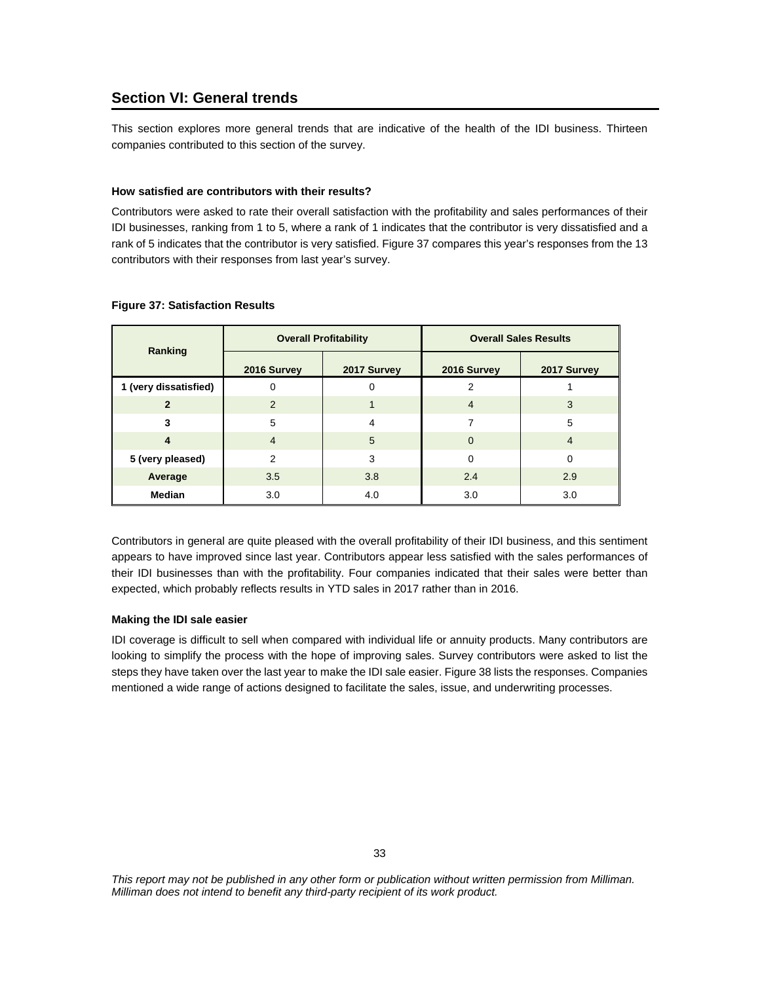## **Section VI: General trends**

This section explores more general trends that are indicative of the health of the IDI business. Thirteen companies contributed to this section of the survey.

#### **How satisfied are contributors with their results?**

Contributors were asked to rate their overall satisfaction with the profitability and sales performances of their IDI businesses, ranking from 1 to 5, where a rank of 1 indicates that the contributor is very dissatisfied and a rank of 5 indicates that the contributor is very satisfied. Figure 37 compares this year's responses from the 13 contributors with their responses from last year's survey.

| Ranking               | <b>Overall Profitability</b><br>2017 Survey<br>2016 Survey |     | <b>Overall Sales Results</b> |                |  |
|-----------------------|------------------------------------------------------------|-----|------------------------------|----------------|--|
|                       |                                                            |     | 2016 Survey                  | 2017 Survey    |  |
| 1 (very dissatisfied) |                                                            | 0   | 2                            |                |  |
| $\overline{2}$        | 2                                                          |     | $\overline{4}$               | 3              |  |
| 3                     | 5                                                          | 4   |                              | 5              |  |
| 4                     | $\overline{4}$                                             | 5   | $\Omega$                     | $\overline{4}$ |  |
| 5 (very pleased)      | $\mathcal{P}$                                              | 3   | $\Omega$                     | $\Omega$       |  |
| Average               | 3.5                                                        | 3.8 | 2.4                          | 2.9            |  |
| <b>Median</b>         | 3.0                                                        | 4.0 | 3.0                          | 3.0            |  |

#### **Figure 37: Satisfaction Results**

Contributors in general are quite pleased with the overall profitability of their IDI business, and this sentiment appears to have improved since last year. Contributors appear less satisfied with the sales performances of their IDI businesses than with the profitability. Four companies indicated that their sales were better than expected, which probably reflects results in YTD sales in 2017 rather than in 2016.

#### **Making the IDI sale easier**

IDI coverage is difficult to sell when compared with individual life or annuity products. Many contributors are looking to simplify the process with the hope of improving sales. Survey contributors were asked to list the steps they have taken over the last year to make the IDI sale easier. Figure 38 lists the responses. Companies mentioned a wide range of actions designed to facilitate the sales, issue, and underwriting processes.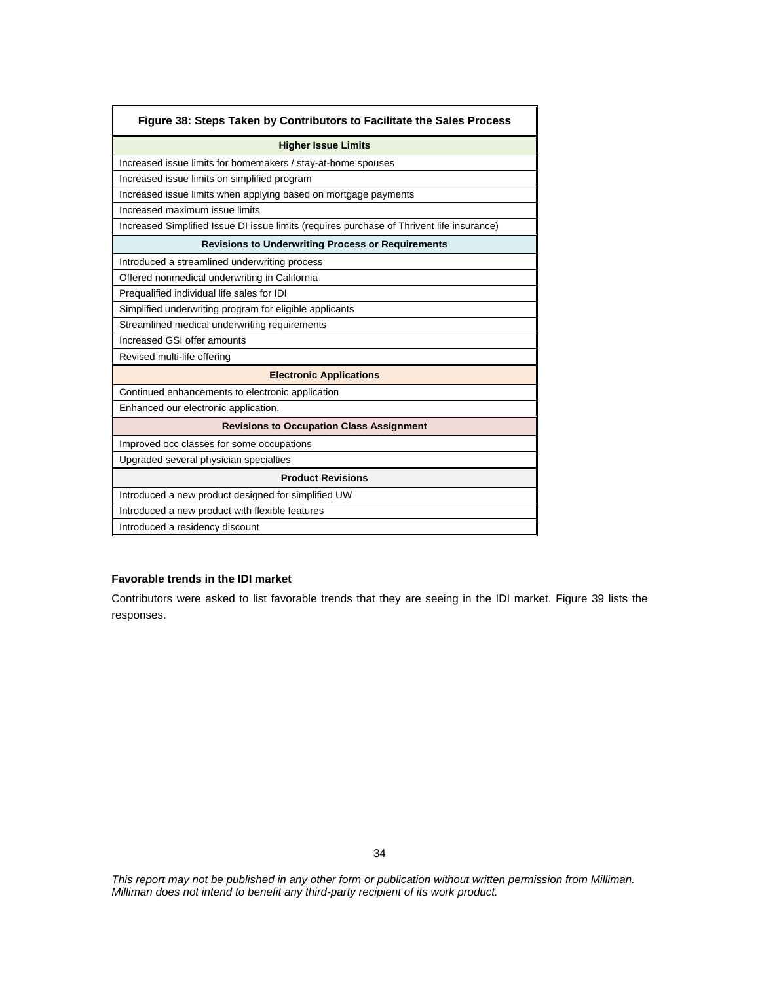| Figure 38: Steps Taken by Contributors to Facilitate the Sales Process                    |
|-------------------------------------------------------------------------------------------|
| <b>Higher Issue Limits</b>                                                                |
| Increased issue limits for homemakers / stay-at-home spouses                              |
| Increased issue limits on simplified program                                              |
| Increased issue limits when applying based on mortgage payments                           |
| Increased maximum issue limits                                                            |
| Increased Simplified Issue DI issue limits (requires purchase of Thrivent life insurance) |
| <b>Revisions to Underwriting Process or Requirements</b>                                  |
| Introduced a streamlined underwriting process                                             |
| Offered nonmedical underwriting in California                                             |
| Prequalified individual life sales for IDI                                                |
| Simplified underwriting program for eligible applicants                                   |
| Streamlined medical underwriting requirements                                             |
| Increased GSI offer amounts                                                               |
| Revised multi-life offering                                                               |
| <b>Electronic Applications</b>                                                            |
| Continued enhancements to electronic application                                          |
| Enhanced our electronic application.                                                      |
| <b>Revisions to Occupation Class Assignment</b>                                           |
| Improved occ classes for some occupations                                                 |
| Upgraded several physician specialties                                                    |
| <b>Product Revisions</b>                                                                  |
| Introduced a new product designed for simplified UW                                       |
| Introduced a new product with flexible features                                           |
| Introduced a residency discount                                                           |

## **Favorable trends in the IDI market**

Contributors were asked to list favorable trends that they are seeing in the IDI market. Figure 39 lists the responses.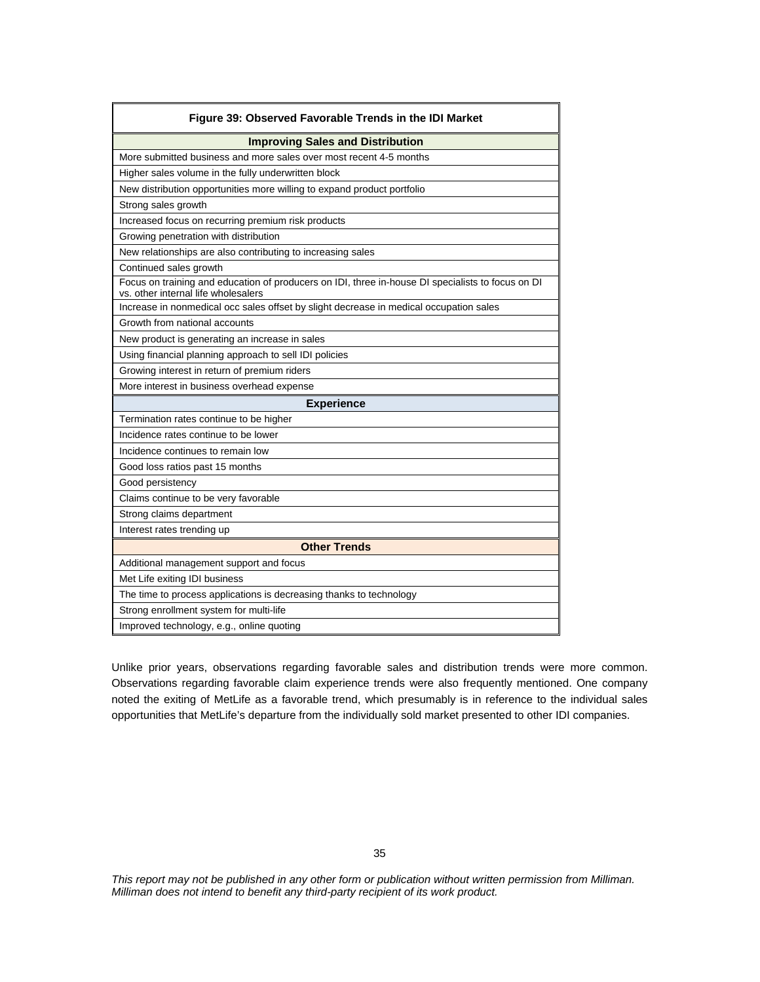| Figure 39: Observed Favorable Trends in the IDI Market                                                                                   |
|------------------------------------------------------------------------------------------------------------------------------------------|
| <b>Improving Sales and Distribution</b>                                                                                                  |
| More submitted business and more sales over most recent 4-5 months                                                                       |
| Higher sales volume in the fully underwritten block                                                                                      |
| New distribution opportunities more willing to expand product portfolio                                                                  |
| Strong sales growth                                                                                                                      |
| Increased focus on recurring premium risk products                                                                                       |
| Growing penetration with distribution                                                                                                    |
| New relationships are also contributing to increasing sales                                                                              |
| Continued sales growth                                                                                                                   |
| Focus on training and education of producers on IDI, three in-house DI specialists to focus on DI<br>vs. other internal life wholesalers |
| Increase in nonmedical occ sales offset by slight decrease in medical occupation sales                                                   |
| Growth from national accounts                                                                                                            |
| New product is generating an increase in sales                                                                                           |
| Using financial planning approach to sell IDI policies                                                                                   |
| Growing interest in return of premium riders                                                                                             |
| More interest in business overhead expense                                                                                               |
| <b>Experience</b>                                                                                                                        |
| Termination rates continue to be higher                                                                                                  |
| Incidence rates continue to be lower                                                                                                     |
| Incidence continues to remain low                                                                                                        |
| Good loss ratios past 15 months                                                                                                          |
| Good persistency                                                                                                                         |
| Claims continue to be very favorable                                                                                                     |
| Strong claims department                                                                                                                 |
| Interest rates trending up                                                                                                               |
| <b>Other Trends</b>                                                                                                                      |
| Additional management support and focus                                                                                                  |
| Met Life exiting IDI business                                                                                                            |
| The time to process applications is decreasing thanks to technology                                                                      |
| Strong enrollment system for multi-life                                                                                                  |
| Improved technology, e.g., online quoting                                                                                                |

Unlike prior years, observations regarding favorable sales and distribution trends were more common. Observations regarding favorable claim experience trends were also frequently mentioned. One company noted the exiting of MetLife as a favorable trend, which presumably is in reference to the individual sales opportunities that MetLife's departure from the individually sold market presented to other IDI companies.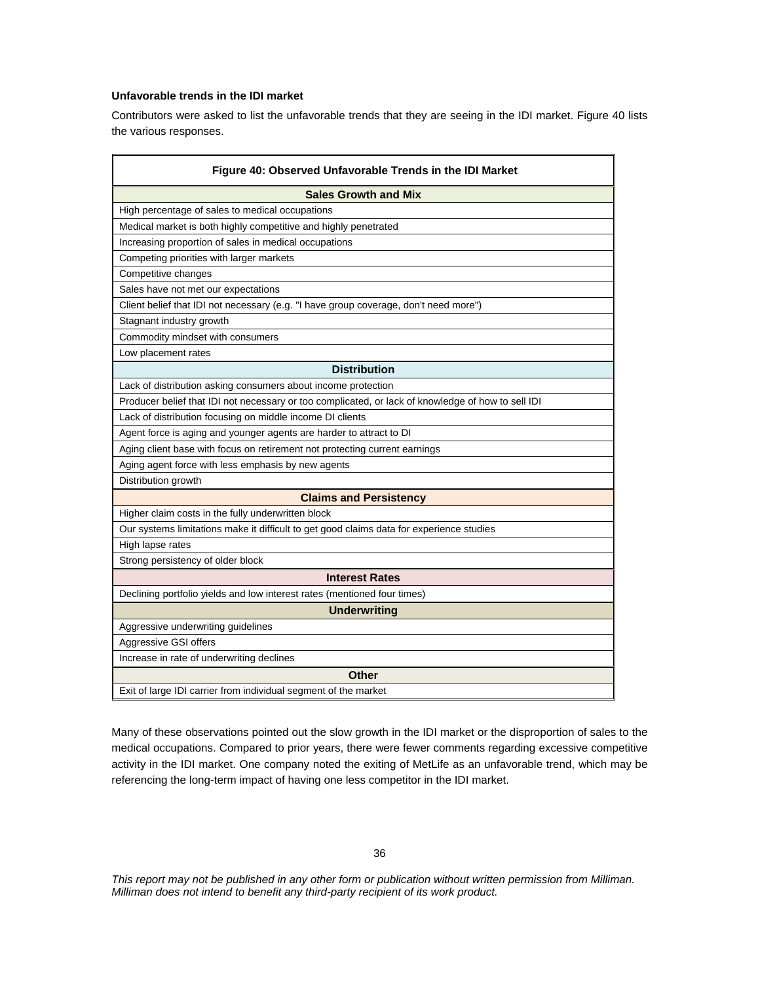### **Unfavorable trends in the IDI market**

Contributors were asked to list the unfavorable trends that they are seeing in the IDI market. Figure 40 lists the various responses.

| Figure 40: Observed Unfavorable Trends in the IDI Market                                           |
|----------------------------------------------------------------------------------------------------|
| <b>Sales Growth and Mix</b>                                                                        |
| High percentage of sales to medical occupations                                                    |
| Medical market is both highly competitive and highly penetrated                                    |
| Increasing proportion of sales in medical occupations                                              |
| Competing priorities with larger markets                                                           |
| Competitive changes                                                                                |
| Sales have not met our expectations                                                                |
| Client belief that IDI not necessary (e.g. "I have group coverage, don't need more")               |
| Stagnant industry growth                                                                           |
| Commodity mindset with consumers                                                                   |
| Low placement rates                                                                                |
| <b>Distribution</b>                                                                                |
| Lack of distribution asking consumers about income protection                                      |
| Producer belief that IDI not necessary or too complicated, or lack of knowledge of how to sell IDI |
| Lack of distribution focusing on middle income DI clients                                          |
| Agent force is aging and younger agents are harder to attract to DI                                |
| Aging client base with focus on retirement not protecting current earnings                         |
| Aging agent force with less emphasis by new agents                                                 |
| Distribution growth                                                                                |
| <b>Claims and Persistency</b>                                                                      |
| Higher claim costs in the fully underwritten block                                                 |
| Our systems limitations make it difficult to get good claims data for experience studies           |
| High lapse rates                                                                                   |
| Strong persistency of older block                                                                  |
| <b>Interest Rates</b>                                                                              |
| Declining portfolio yields and low interest rates (mentioned four times)                           |
| <b>Underwriting</b>                                                                                |
| Aggressive underwriting guidelines                                                                 |
| Aggressive GSI offers                                                                              |
| Increase in rate of underwriting declines                                                          |
| <b>Other</b>                                                                                       |
| Exit of large IDI carrier from individual segment of the market                                    |

Many of these observations pointed out the slow growth in the IDI market or the disproportion of sales to the medical occupations. Compared to prior years, there were fewer comments regarding excessive competitive activity in the IDI market. One company noted the exiting of MetLife as an unfavorable trend, which may be referencing the long-term impact of having one less competitor in the IDI market.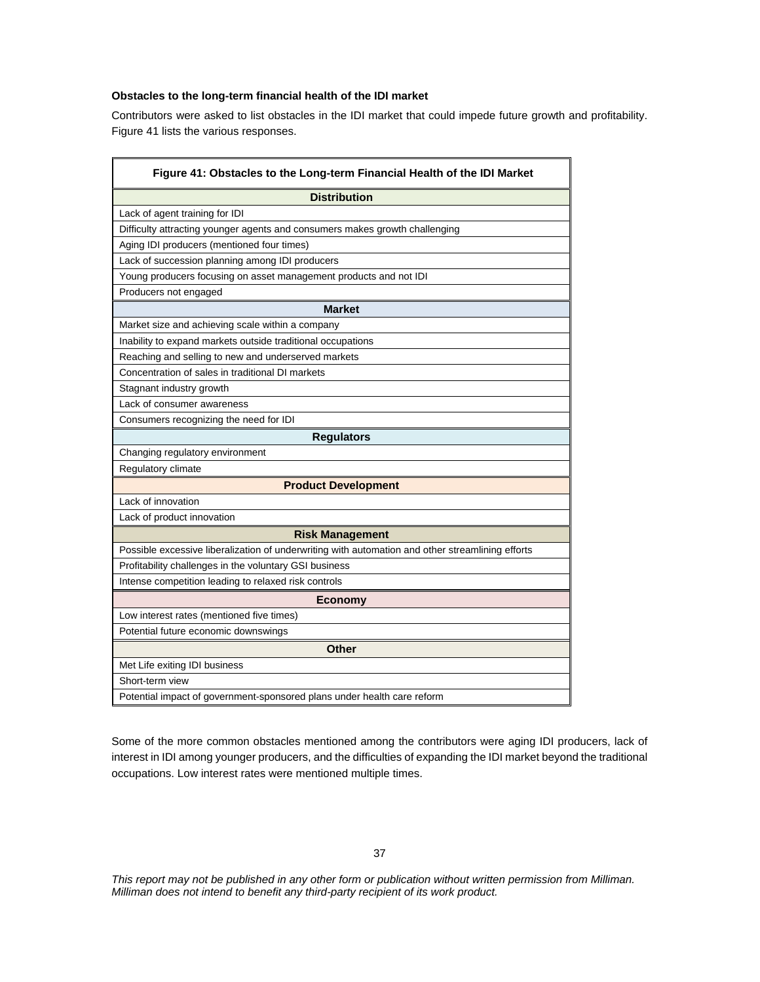## **Obstacles to the long-term financial health of the IDI market**

Contributors were asked to list obstacles in the IDI market that could impede future growth and profitability. Figure 41 lists the various responses.

| Figure 41: Obstacles to the Long-term Financial Health of the IDI Market                         |
|--------------------------------------------------------------------------------------------------|
| <b>Distribution</b>                                                                              |
| Lack of agent training for IDI                                                                   |
| Difficulty attracting younger agents and consumers makes growth challenging                      |
| Aging IDI producers (mentioned four times)                                                       |
| Lack of succession planning among IDI producers                                                  |
| Young producers focusing on asset management products and not IDI                                |
| Producers not engaged                                                                            |
| <b>Market</b>                                                                                    |
| Market size and achieving scale within a company                                                 |
| Inability to expand markets outside traditional occupations                                      |
| Reaching and selling to new and underserved markets                                              |
| Concentration of sales in traditional DI markets                                                 |
| Stagnant industry growth                                                                         |
| Lack of consumer awareness                                                                       |
| Consumers recognizing the need for IDI                                                           |
| <b>Requlators</b>                                                                                |
| Changing regulatory environment                                                                  |
| Regulatory climate                                                                               |
| <b>Product Development</b>                                                                       |
| Lack of innovation                                                                               |
| Lack of product innovation                                                                       |
| <b>Risk Management</b>                                                                           |
| Possible excessive liberalization of underwriting with automation and other streamlining efforts |
| Profitability challenges in the voluntary GSI business                                           |
| Intense competition leading to relaxed risk controls                                             |
| <b>Economy</b>                                                                                   |
| Low interest rates (mentioned five times)                                                        |
| Potential future economic downswings                                                             |
| <b>Other</b>                                                                                     |
| Met Life exiting IDI business                                                                    |
| Short-term view                                                                                  |
| Potential impact of government-sponsored plans under health care reform                          |

Some of the more common obstacles mentioned among the contributors were aging IDI producers, lack of interest in IDI among younger producers, and the difficulties of expanding the IDI market beyond the traditional occupations. Low interest rates were mentioned multiple times.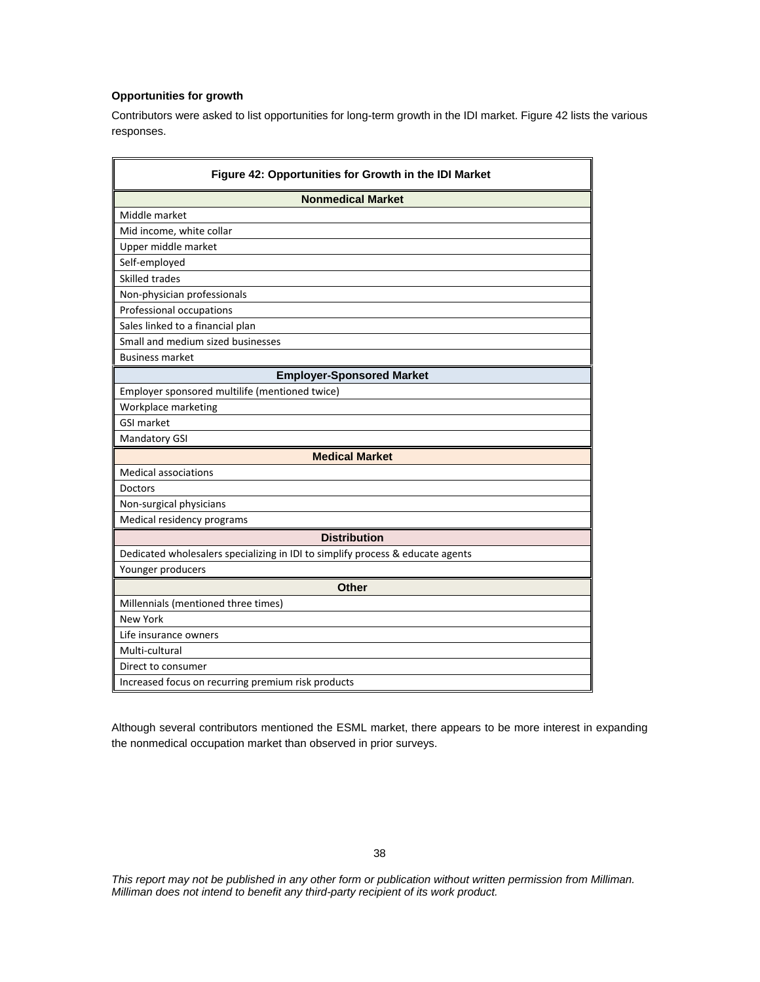## **Opportunities for growth**

Contributors were asked to list opportunities for long-term growth in the IDI market. Figure 42 lists the various responses.

| Figure 42: Opportunities for Growth in the IDI Market                          |
|--------------------------------------------------------------------------------|
| <b>Nonmedical Market</b>                                                       |
| Middle market                                                                  |
| Mid income, white collar                                                       |
| Upper middle market                                                            |
| Self-employed                                                                  |
| Skilled trades                                                                 |
| Non-physician professionals                                                    |
| Professional occupations                                                       |
| Sales linked to a financial plan                                               |
| Small and medium sized businesses                                              |
| <b>Business market</b>                                                         |
| <b>Employer-Sponsored Market</b>                                               |
| Employer sponsored multilife (mentioned twice)                                 |
| Workplace marketing                                                            |
| <b>GSI market</b>                                                              |
| Mandatory GSI                                                                  |
| <b>Medical Market</b>                                                          |
| <b>Medical associations</b>                                                    |
| <b>Doctors</b>                                                                 |
| Non-surgical physicians                                                        |
| Medical residency programs                                                     |
| <b>Distribution</b>                                                            |
| Dedicated wholesalers specializing in IDI to simplify process & educate agents |
| Younger producers                                                              |
| <b>Other</b>                                                                   |
| Millennials (mentioned three times)                                            |
| <b>New York</b>                                                                |
| Life insurance owners                                                          |
| Multi-cultural                                                                 |
| Direct to consumer                                                             |
| Increased focus on recurring premium risk products                             |

Although several contributors mentioned the ESML market, there appears to be more interest in expanding the nonmedical occupation market than observed in prior surveys.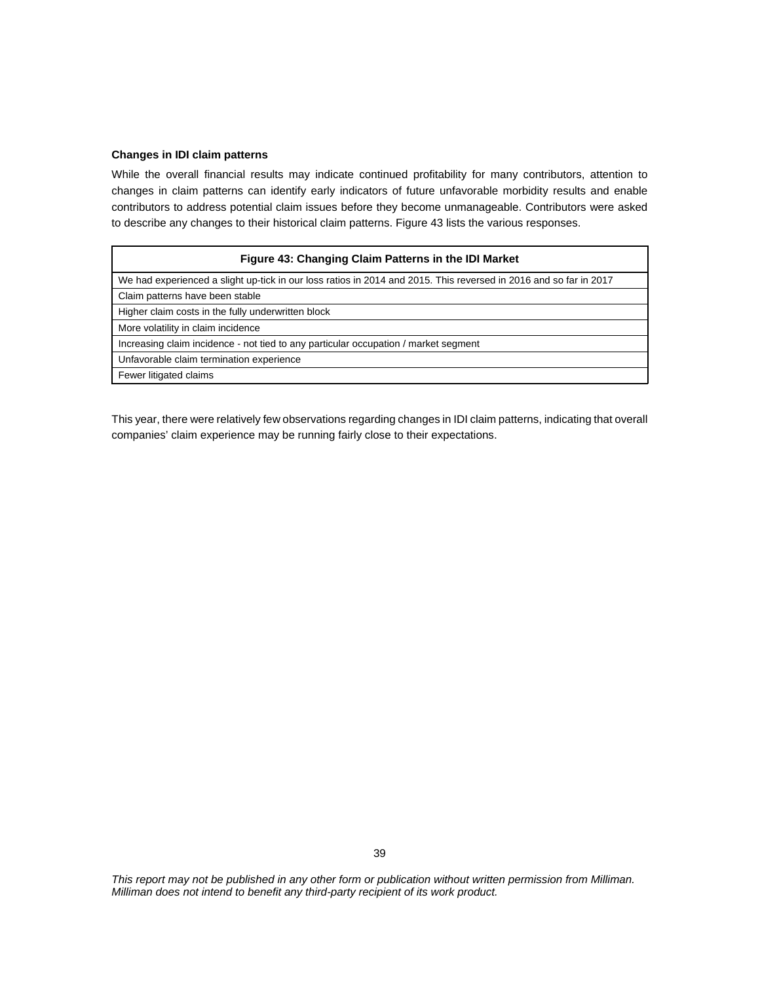#### **Changes in IDI claim patterns**

While the overall financial results may indicate continued profitability for many contributors, attention to changes in claim patterns can identify early indicators of future unfavorable morbidity results and enable contributors to address potential claim issues before they become unmanageable. Contributors were asked to describe any changes to their historical claim patterns. Figure 43 lists the various responses.

| Figure 43: Changing Claim Patterns in the IDI Market                                                              |
|-------------------------------------------------------------------------------------------------------------------|
| We had experienced a slight up-tick in our loss ratios in 2014 and 2015. This reversed in 2016 and so far in 2017 |
| Claim patterns have been stable                                                                                   |
| Higher claim costs in the fully underwritten block                                                                |
| More volatility in claim incidence                                                                                |
| Increasing claim incidence - not tied to any particular occupation / market segment                               |
| Unfavorable claim termination experience                                                                          |
| Fewer litigated claims                                                                                            |

This year, there were relatively few observations regarding changes in IDI claim patterns, indicating that overall companies' claim experience may be running fairly close to their expectations.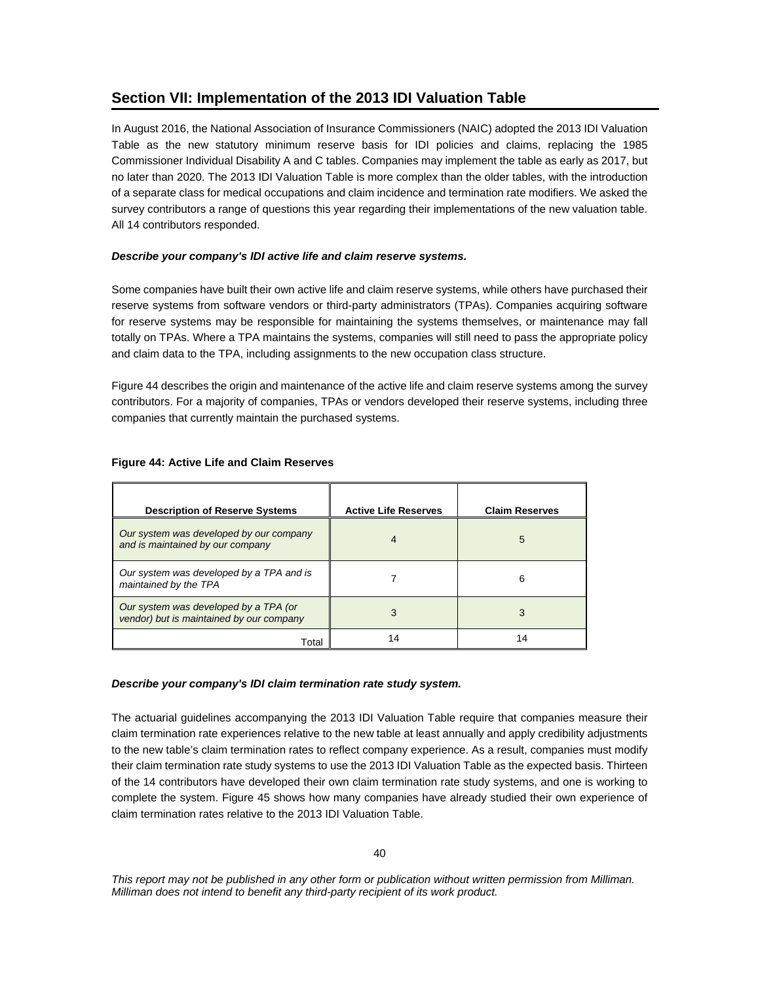## **Section VII: Implementation of the 2013 IDI Valuation Table**

In August 2016, the National Association of Insurance Commissioners (NAIC) adopted the 2013 IDI Valuation Table as the new statutory minimum reserve basis for IDI policies and claims, replacing the 1985 Commissioner Individual Disability A and C tables. Companies may implement the table as early as 2017, but no later than 2020. The 2013 IDI Valuation Table is more complex than the older tables, with the introduction of a separate class for medical occupations and claim incidence and termination rate modifiers. We asked the survey contributors a range of questions this year regarding their implementations of the new valuation table. All 14 contributors responded.

## *Describe your company's IDI active life and claim reserve systems.*

Some companies have built their own active life and claim reserve systems, while others have purchased their reserve systems from software vendors or third-party administrators (TPAs). Companies acquiring software for reserve systems may be responsible for maintaining the systems themselves, or maintenance may fall totally on TPAs. Where a TPA maintains the systems, companies will still need to pass the appropriate policy and claim data to the TPA, including assignments to the new occupation class structure.

Figure 44 describes the origin and maintenance of the active life and claim reserve systems among the survey contributors. For a majority of companies, TPAs or vendors developed their reserve systems, including three companies that currently maintain the purchased systems.

| <b>Description of Reserve Systems</b>                                             | <b>Active Life Reserves</b> | <b>Claim Reserves</b> |
|-----------------------------------------------------------------------------------|-----------------------------|-----------------------|
| Our system was developed by our company<br>and is maintained by our company       | 4                           | 5                     |
| Our system was developed by a TPA and is<br>maintained by the TPA                 |                             | h                     |
| Our system was developed by a TPA (or<br>vendor) but is maintained by our company | 3                           | 3                     |
| Total                                                                             | 14                          |                       |

## **Figure 44: Active Life and Claim Reserves**

## *Describe your company's IDI claim termination rate study system.*

The actuarial guidelines accompanying the 2013 IDI Valuation Table require that companies measure their claim termination rate experiences relative to the new table at least annually and apply credibility adjustments to the new table's claim termination rates to reflect company experience. As a result, companies must modify their claim termination rate study systems to use the 2013 IDI Valuation Table as the expected basis. Thirteen of the 14 contributors have developed their own claim termination rate study systems, and one is working to complete the system. Figure 45 shows how many companies have already studied their own experience of claim termination rates relative to the 2013 IDI Valuation Table.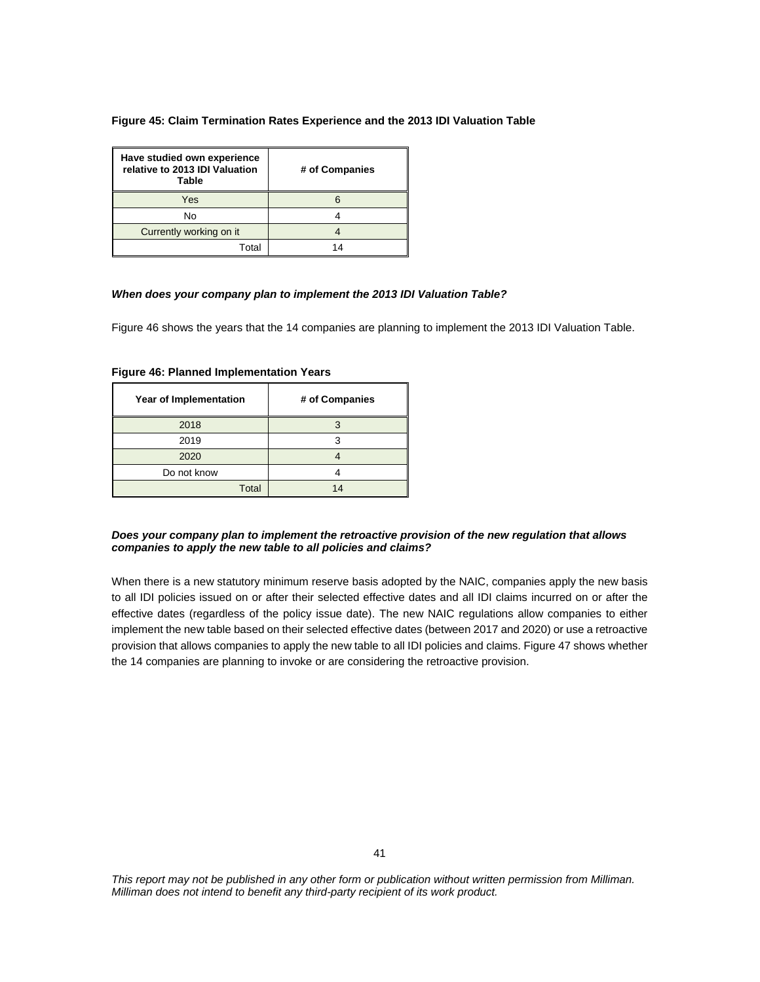#### **Figure 45: Claim Termination Rates Experience and the 2013 IDI Valuation Table**

| Have studied own experience<br>relative to 2013 IDI Valuation<br>Table | # of Companies |
|------------------------------------------------------------------------|----------------|
| Yes                                                                    |                |
| No                                                                     |                |
| Currently working on it                                                |                |
| T∩tal                                                                  | 1⊿             |

#### *When does your company plan to implement the 2013 IDI Valuation Table?*

Figure 46 shows the years that the 14 companies are planning to implement the 2013 IDI Valuation Table.

| Year of Implementation | # of Companies |
|------------------------|----------------|
| 2018                   |                |
| 2019                   |                |
| 2020                   |                |
| Do not know            |                |
| Total                  | 14             |

**Figure 46: Planned Implementation Years** 

## *Does your company plan to implement the retroactive provision of the new regulation that allows companies to apply the new table to all policies and claims?*

When there is a new statutory minimum reserve basis adopted by the NAIC, companies apply the new basis to all IDI policies issued on or after their selected effective dates and all IDI claims incurred on or after the effective dates (regardless of the policy issue date). The new NAIC regulations allow companies to either implement the new table based on their selected effective dates (between 2017 and 2020) or use a retroactive provision that allows companies to apply the new table to all IDI policies and claims. Figure 47 shows whether the 14 companies are planning to invoke or are considering the retroactive provision.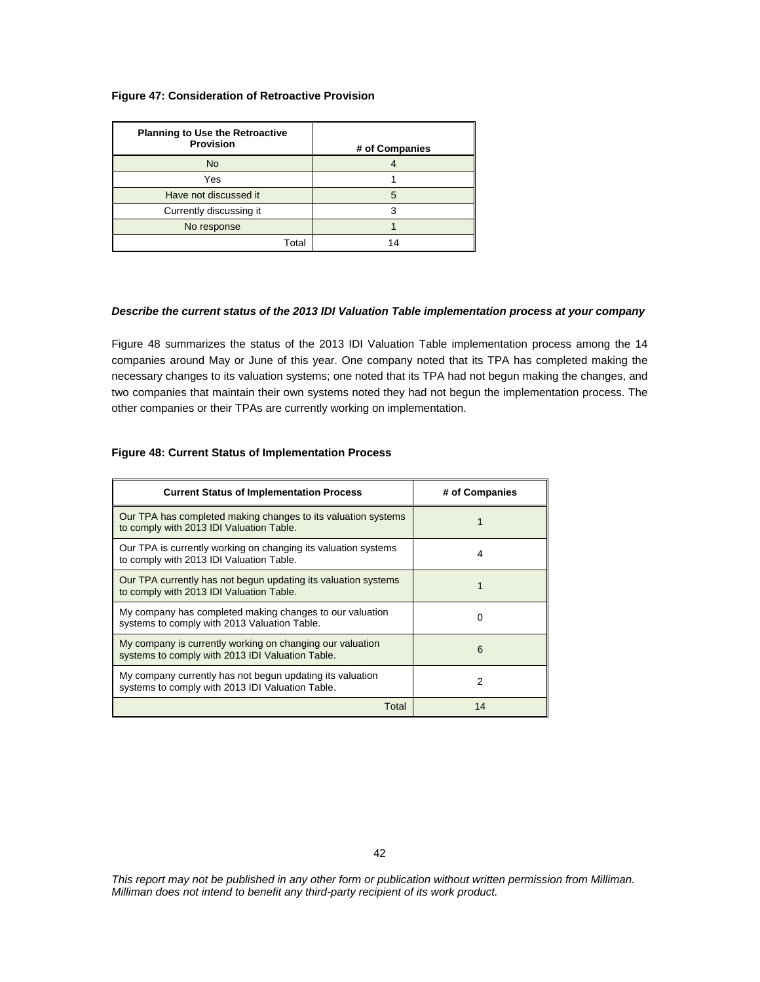### **Figure 47: Consideration of Retroactive Provision**

| <b>Planning to Use the Retroactive</b><br><b>Provision</b> | # of Companies |
|------------------------------------------------------------|----------------|
| <b>No</b>                                                  |                |
| Yes                                                        |                |
| Have not discussed it                                      | 5              |
| Currently discussing it                                    |                |
| No response                                                |                |
| Total                                                      | 14             |

#### *Describe the current status of the 2013 IDI Valuation Table implementation process at your company*

Figure 48 summarizes the status of the 2013 IDI Valuation Table implementation process among the 14 companies around May or June of this year. One company noted that its TPA has completed making the necessary changes to its valuation systems; one noted that its TPA had not begun making the changes, and two companies that maintain their own systems noted they had not begun the implementation process. The other companies or their TPAs are currently working on implementation.

#### **Figure 48: Current Status of Implementation Process**

| <b>Current Status of Implementation Process</b>                                                               | # of Companies |
|---------------------------------------------------------------------------------------------------------------|----------------|
| Our TPA has completed making changes to its valuation systems<br>to comply with 2013 IDI Valuation Table.     |                |
| Our TPA is currently working on changing its valuation systems<br>to comply with 2013 IDI Valuation Table.    | 4              |
| Our TPA currently has not begun updating its valuation systems<br>to comply with 2013 IDI Valuation Table.    |                |
| My company has completed making changes to our valuation<br>systems to comply with 2013 Valuation Table.      | 0              |
| My company is currently working on changing our valuation<br>systems to comply with 2013 IDI Valuation Table. | 6              |
| My company currently has not begun updating its valuation<br>systems to comply with 2013 IDI Valuation Table. | 2              |
| Total                                                                                                         | 14             |